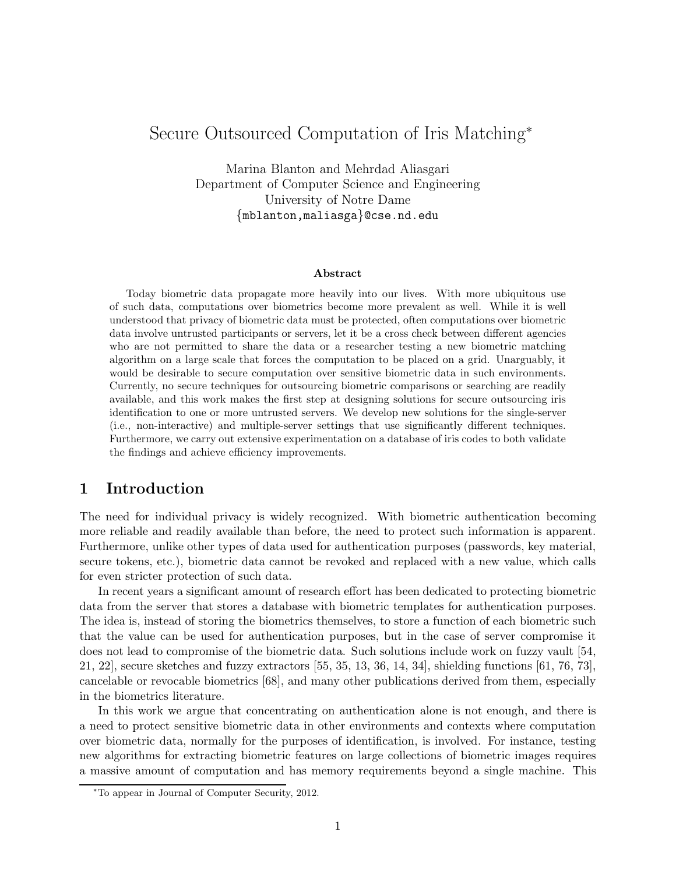# Secure Outsourced Computation of Iris Matching<sup>∗</sup>

Marina Blanton and Mehrdad Aliasgari Department of Computer Science and Engineering University of Notre Dame {mblanton,maliasga}@cse.nd.edu

#### Abstract

Today biometric data propagate more heavily into our lives. With more ubiquitous use of such data, computations over biometrics become more prevalent as well. While it is well understood that privacy of biometric data must be protected, often computations over biometric data involve untrusted participants or servers, let it be a cross check between different agencies who are not permitted to share the data or a researcher testing a new biometric matching algorithm on a large scale that forces the computation to be placed on a grid. Unarguably, it would be desirable to secure computation over sensitive biometric data in such environments. Currently, no secure techniques for outsourcing biometric comparisons or searching are readily available, and this work makes the first step at designing solutions for secure outsourcing iris identification to one or more untrusted servers. We develop new solutions for the single-server (i.e., non-interactive) and multiple-server settings that use significantly different techniques. Furthermore, we carry out extensive experimentation on a database of iris codes to both validate the findings and achieve efficiency improvements.

# 1 Introduction

The need for individual privacy is widely recognized. With biometric authentication becoming more reliable and readily available than before, the need to protect such information is apparent. Furthermore, unlike other types of data used for authentication purposes (passwords, key material, secure tokens, etc.), biometric data cannot be revoked and replaced with a new value, which calls for even stricter protection of such data.

In recent years a significant amount of research effort has been dedicated to protecting biometric data from the server that stores a database with biometric templates for authentication purposes. The idea is, instead of storing the biometrics themselves, to store a function of each biometric such that the value can be used for authentication purposes, but in the case of server compromise it does not lead to compromise of the biometric data. Such solutions include work on fuzzy vault [54, 21, 22], secure sketches and fuzzy extractors [55, 35, 13, 36, 14, 34], shielding functions [61, 76, 73], cancelable or revocable biometrics [68], and many other publications derived from them, especially in the biometrics literature.

In this work we argue that concentrating on authentication alone is not enough, and there is a need to protect sensitive biometric data in other environments and contexts where computation over biometric data, normally for the purposes of identification, is involved. For instance, testing new algorithms for extracting biometric features on large collections of biometric images requires a massive amount of computation and has memory requirements beyond a single machine. This

<sup>∗</sup>To appear in Journal of Computer Security, 2012.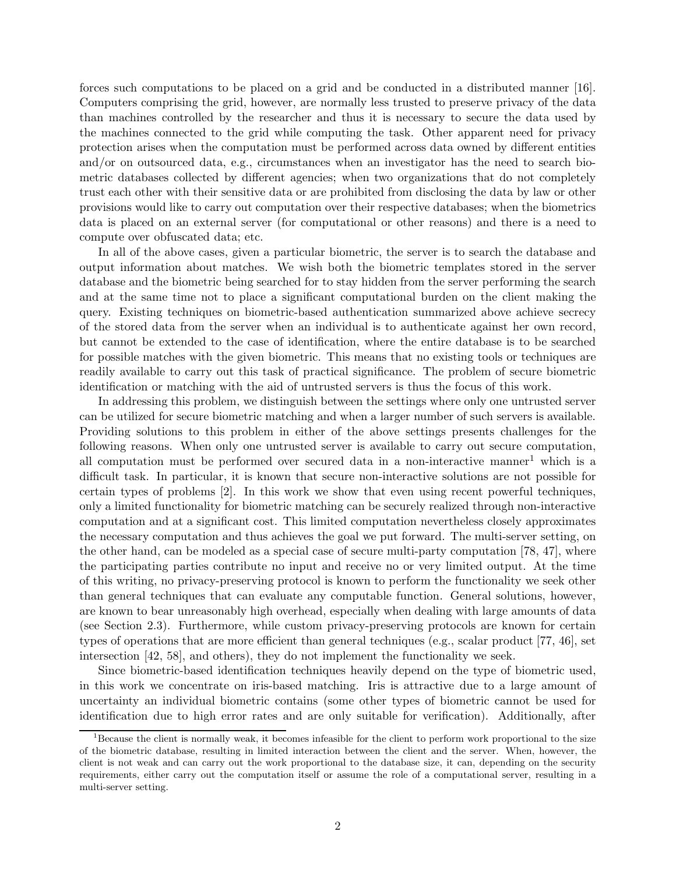forces such computations to be placed on a grid and be conducted in a distributed manner [16]. Computers comprising the grid, however, are normally less trusted to preserve privacy of the data than machines controlled by the researcher and thus it is necessary to secure the data used by the machines connected to the grid while computing the task. Other apparent need for privacy protection arises when the computation must be performed across data owned by different entities and/or on outsourced data, e.g., circumstances when an investigator has the need to search biometric databases collected by different agencies; when two organizations that do not completely trust each other with their sensitive data or are prohibited from disclosing the data by law or other provisions would like to carry out computation over their respective databases; when the biometrics data is placed on an external server (for computational or other reasons) and there is a need to compute over obfuscated data; etc.

In all of the above cases, given a particular biometric, the server is to search the database and output information about matches. We wish both the biometric templates stored in the server database and the biometric being searched for to stay hidden from the server performing the search and at the same time not to place a significant computational burden on the client making the query. Existing techniques on biometric-based authentication summarized above achieve secrecy of the stored data from the server when an individual is to authenticate against her own record, but cannot be extended to the case of identification, where the entire database is to be searched for possible matches with the given biometric. This means that no existing tools or techniques are readily available to carry out this task of practical significance. The problem of secure biometric identification or matching with the aid of untrusted servers is thus the focus of this work.

In addressing this problem, we distinguish between the settings where only one untrusted server can be utilized for secure biometric matching and when a larger number of such servers is available. Providing solutions to this problem in either of the above settings presents challenges for the following reasons. When only one untrusted server is available to carry out secure computation, all computation must be performed over secured data in a non-interactive manner<sup>1</sup> which is a difficult task. In particular, it is known that secure non-interactive solutions are not possible for certain types of problems [2]. In this work we show that even using recent powerful techniques, only a limited functionality for biometric matching can be securely realized through non-interactive computation and at a significant cost. This limited computation nevertheless closely approximates the necessary computation and thus achieves the goal we put forward. The multi-server setting, on the other hand, can be modeled as a special case of secure multi-party computation [78, 47], where the participating parties contribute no input and receive no or very limited output. At the time of this writing, no privacy-preserving protocol is known to perform the functionality we seek other than general techniques that can evaluate any computable function. General solutions, however, are known to bear unreasonably high overhead, especially when dealing with large amounts of data (see Section 2.3). Furthermore, while custom privacy-preserving protocols are known for certain types of operations that are more efficient than general techniques (e.g., scalar product [77, 46], set intersection [42, 58], and others), they do not implement the functionality we seek.

Since biometric-based identification techniques heavily depend on the type of biometric used, in this work we concentrate on iris-based matching. Iris is attractive due to a large amount of uncertainty an individual biometric contains (some other types of biometric cannot be used for identification due to high error rates and are only suitable for verification). Additionally, after

<sup>&</sup>lt;sup>1</sup>Because the client is normally weak, it becomes infeasible for the client to perform work proportional to the size of the biometric database, resulting in limited interaction between the client and the server. When, however, the client is not weak and can carry out the work proportional to the database size, it can, depending on the security requirements, either carry out the computation itself or assume the role of a computational server, resulting in a multi-server setting.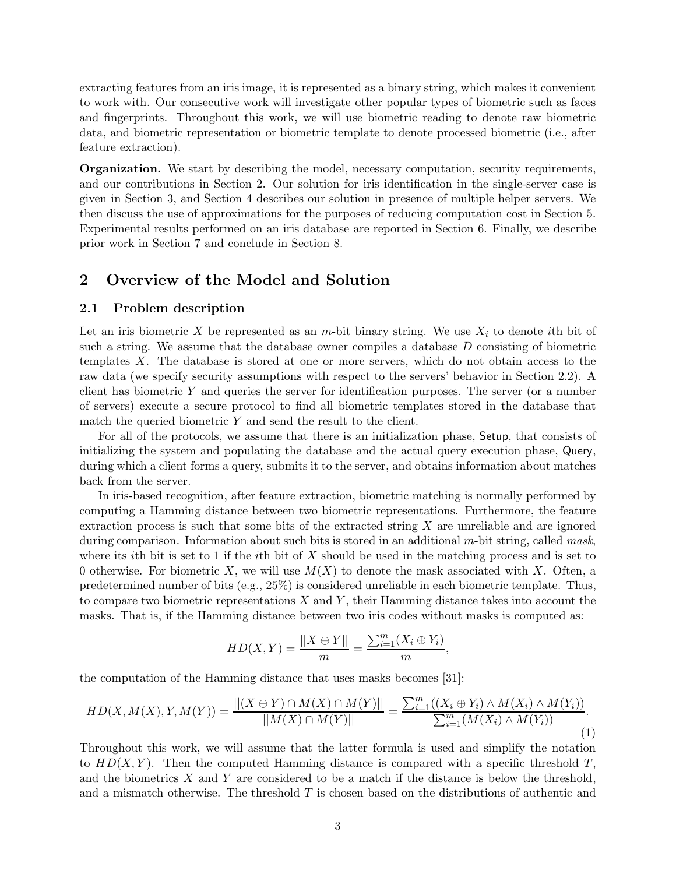extracting features from an iris image, it is represented as a binary string, which makes it convenient to work with. Our consecutive work will investigate other popular types of biometric such as faces and fingerprints. Throughout this work, we will use biometric reading to denote raw biometric data, and biometric representation or biometric template to denote processed biometric (i.e., after feature extraction).

**Organization.** We start by describing the model, necessary computation, security requirements, and our contributions in Section 2. Our solution for iris identification in the single-server case is given in Section 3, and Section 4 describes our solution in presence of multiple helper servers. We then discuss the use of approximations for the purposes of reducing computation cost in Section 5. Experimental results performed on an iris database are reported in Section 6. Finally, we describe prior work in Section 7 and conclude in Section 8.

### 2 Overview of the Model and Solution

#### 2.1 Problem description

Let an iris biometric X be represented as an m-bit binary string. We use  $X_i$  to denote ith bit of such a string. We assume that the database owner compiles a database D consisting of biometric templates X. The database is stored at one or more servers, which do not obtain access to the raw data (we specify security assumptions with respect to the servers' behavior in Section 2.2). A client has biometric  $Y$  and queries the server for identification purposes. The server (or a number of servers) execute a secure protocol to find all biometric templates stored in the database that match the queried biometric  $Y$  and send the result to the client.

For all of the protocols, we assume that there is an initialization phase, Setup, that consists of initializing the system and populating the database and the actual query execution phase, Query, during which a client forms a query, submits it to the server, and obtains information about matches back from the server.

In iris-based recognition, after feature extraction, biometric matching is normally performed by computing a Hamming distance between two biometric representations. Furthermore, the feature extraction process is such that some bits of the extracted string  $X$  are unreliable and are ignored during comparison. Information about such bits is stored in an additional m-bit string, called *mask*, where its *i*th bit is set to 1 if the *i*th bit of X should be used in the matching process and is set to 0 otherwise. For biometric X, we will use  $M(X)$  to denote the mask associated with X. Often, a predetermined number of bits (e.g., 25%) is considered unreliable in each biometric template. Thus, to compare two biometric representations  $X$  and  $Y$ , their Hamming distance takes into account the masks. That is, if the Hamming distance between two iris codes without masks is computed as:

$$
HD(X, Y) = \frac{||X \oplus Y||}{m} = \frac{\sum_{i=1}^{m} (X_i \oplus Y_i)}{m},
$$

the computation of the Hamming distance that uses masks becomes [31]:

$$
HD(X, M(X), Y, M(Y)) = \frac{||(X \oplus Y) \cap M(X) \cap M(Y)||}{||M(X) \cap M(Y)||} = \frac{\sum_{i=1}^{m} ((X_i \oplus Y_i) \wedge M(X_i) \wedge M(Y_i))}{\sum_{i=1}^{m} (M(X_i) \wedge M(Y_i))}.
$$
\n(1)

Throughout this work, we will assume that the latter formula is used and simplify the notation to  $HD(X, Y)$ . Then the computed Hamming distance is compared with a specific threshold T, and the biometrics  $X$  and  $Y$  are considered to be a match if the distance is below the threshold, and a mismatch otherwise. The threshold  $T$  is chosen based on the distributions of authentic and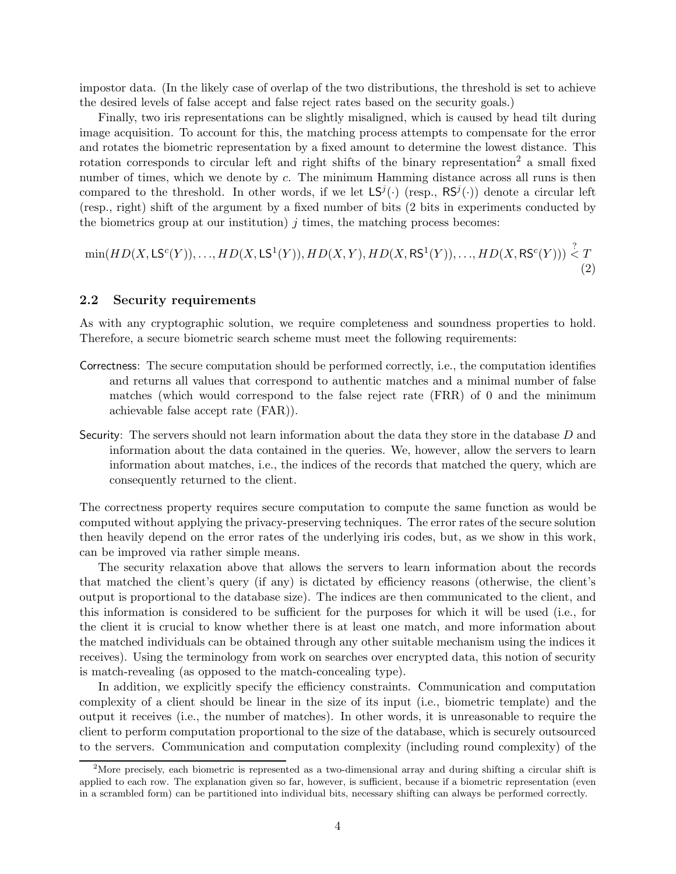impostor data. (In the likely case of overlap of the two distributions, the threshold is set to achieve the desired levels of false accept and false reject rates based on the security goals.)

Finally, two iris representations can be slightly misaligned, which is caused by head tilt during image acquisition. To account for this, the matching process attempts to compensate for the error and rotates the biometric representation by a fixed amount to determine the lowest distance. This rotation corresponds to circular left and right shifts of the binary representation<sup>2</sup> a small fixed number of times, which we denote by c. The minimum Hamming distance across all runs is then compared to the threshold. In other words, if we let  $LS^{j}(\cdot)$  (resp.,  $RS^{j}(\cdot)$ ) denote a circular left (resp., right) shift of the argument by a fixed number of bits (2 bits in experiments conducted by the biometrics group at our institution)  $j$  times, the matching process becomes:

$$
\min(HD(X, \mathsf{LS}^c(Y)), \dots, HD(X, \mathsf{LS}^1(Y)), HD(X, Y), HD(X, \mathsf{RS}^1(Y)), \dots, HD(X, \mathsf{RS}^c(Y))) \stackrel{?}{\leq} T
$$
\n(2)

### 2.2 Security requirements

As with any cryptographic solution, we require completeness and soundness properties to hold. Therefore, a secure biometric search scheme must meet the following requirements:

- Correctness: The secure computation should be performed correctly, i.e., the computation identifies and returns all values that correspond to authentic matches and a minimal number of false matches (which would correspond to the false reject rate (FRR) of 0 and the minimum achievable false accept rate (FAR)).
- Security: The servers should not learn information about the data they store in the database D and information about the data contained in the queries. We, however, allow the servers to learn information about matches, i.e., the indices of the records that matched the query, which are consequently returned to the client.

The correctness property requires secure computation to compute the same function as would be computed without applying the privacy-preserving techniques. The error rates of the secure solution then heavily depend on the error rates of the underlying iris codes, but, as we show in this work, can be improved via rather simple means.

The security relaxation above that allows the servers to learn information about the records that matched the client's query (if any) is dictated by efficiency reasons (otherwise, the client's output is proportional to the database size). The indices are then communicated to the client, and this information is considered to be sufficient for the purposes for which it will be used (i.e., for the client it is crucial to know whether there is at least one match, and more information about the matched individuals can be obtained through any other suitable mechanism using the indices it receives). Using the terminology from work on searches over encrypted data, this notion of security is match-revealing (as opposed to the match-concealing type).

In addition, we explicitly specify the efficiency constraints. Communication and computation complexity of a client should be linear in the size of its input (i.e., biometric template) and the output it receives (i.e., the number of matches). In other words, it is unreasonable to require the client to perform computation proportional to the size of the database, which is securely outsourced to the servers. Communication and computation complexity (including round complexity) of the

<sup>&</sup>lt;sup>2</sup>More precisely, each biometric is represented as a two-dimensional array and during shifting a circular shift is applied to each row. The explanation given so far, however, is sufficient, because if a biometric representation (even in a scrambled form) can be partitioned into individual bits, necessary shifting can always be performed correctly.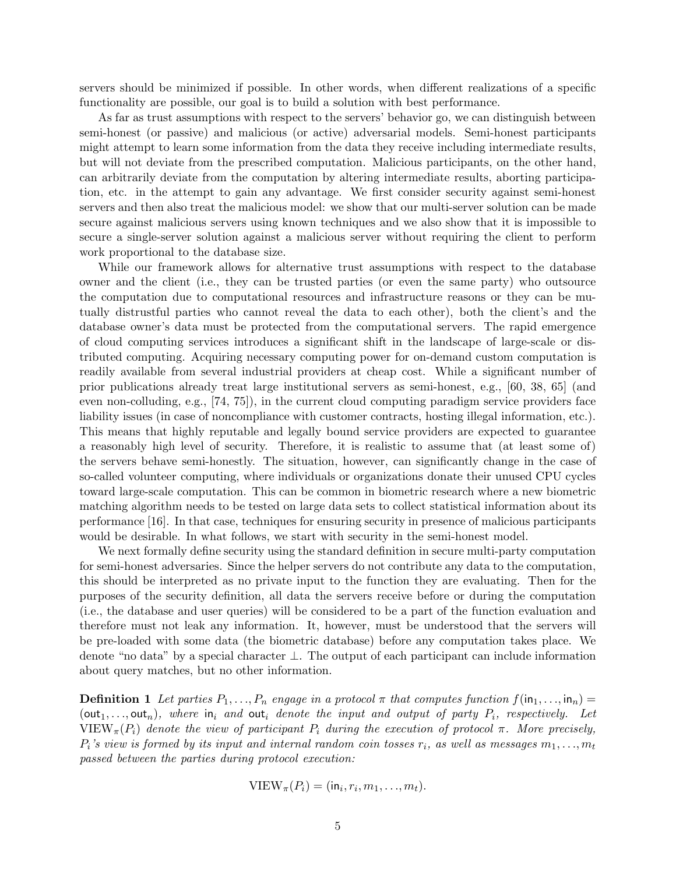servers should be minimized if possible. In other words, when different realizations of a specific functionality are possible, our goal is to build a solution with best performance.

As far as trust assumptions with respect to the servers' behavior go, we can distinguish between semi-honest (or passive) and malicious (or active) adversarial models. Semi-honest participants might attempt to learn some information from the data they receive including intermediate results, but will not deviate from the prescribed computation. Malicious participants, on the other hand, can arbitrarily deviate from the computation by altering intermediate results, aborting participation, etc. in the attempt to gain any advantage. We first consider security against semi-honest servers and then also treat the malicious model: we show that our multi-server solution can be made secure against malicious servers using known techniques and we also show that it is impossible to secure a single-server solution against a malicious server without requiring the client to perform work proportional to the database size.

While our framework allows for alternative trust assumptions with respect to the database owner and the client (i.e., they can be trusted parties (or even the same party) who outsource the computation due to computational resources and infrastructure reasons or they can be mutually distrustful parties who cannot reveal the data to each other), both the client's and the database owner's data must be protected from the computational servers. The rapid emergence of cloud computing services introduces a significant shift in the landscape of large-scale or distributed computing. Acquiring necessary computing power for on-demand custom computation is readily available from several industrial providers at cheap cost. While a significant number of prior publications already treat large institutional servers as semi-honest, e.g., [60, 38, 65] (and even non-colluding, e.g., [74, 75]), in the current cloud computing paradigm service providers face liability issues (in case of noncompliance with customer contracts, hosting illegal information, etc.). This means that highly reputable and legally bound service providers are expected to guarantee a reasonably high level of security. Therefore, it is realistic to assume that (at least some of) the servers behave semi-honestly. The situation, however, can significantly change in the case of so-called volunteer computing, where individuals or organizations donate their unused CPU cycles toward large-scale computation. This can be common in biometric research where a new biometric matching algorithm needs to be tested on large data sets to collect statistical information about its performance [16]. In that case, techniques for ensuring security in presence of malicious participants would be desirable. In what follows, we start with security in the semi-honest model.

We next formally define security using the standard definition in secure multi-party computation for semi-honest adversaries. Since the helper servers do not contribute any data to the computation, this should be interpreted as no private input to the function they are evaluating. Then for the purposes of the security definition, all data the servers receive before or during the computation (i.e., the database and user queries) will be considered to be a part of the function evaluation and therefore must not leak any information. It, however, must be understood that the servers will be pre-loaded with some data (the biometric database) before any computation takes place. We denote "no data" by a special character ⊥. The output of each participant can include information about query matches, but no other information.

**Definition 1** Let parties  $P_1, \ldots, P_n$  engage in a protocol  $\pi$  that computes function  $f(\text{in}_1, \ldots, \text{in}_n)$  $(\text{out}_1, \ldots, \text{out}_n)$ , where  $\text{in}_i$  and  $\text{out}_i$  denote the input and output of party  $P_i$ , respectively. Let VIEW<sub>π</sub>( $P_i$ ) denote the view of participant  $P_i$  during the execution of protocol π. More precisely,  $P_i$ 's view is formed by its input and internal random coin tosses  $r_i$ , as well as messages  $m_1, \ldots, m_t$ *passed between the parties during protocol execution:*

$$
\text{VIEW}_{\pi}(P_i) = (\mathsf{in}_i, r_i, m_1, \dots, m_t).
$$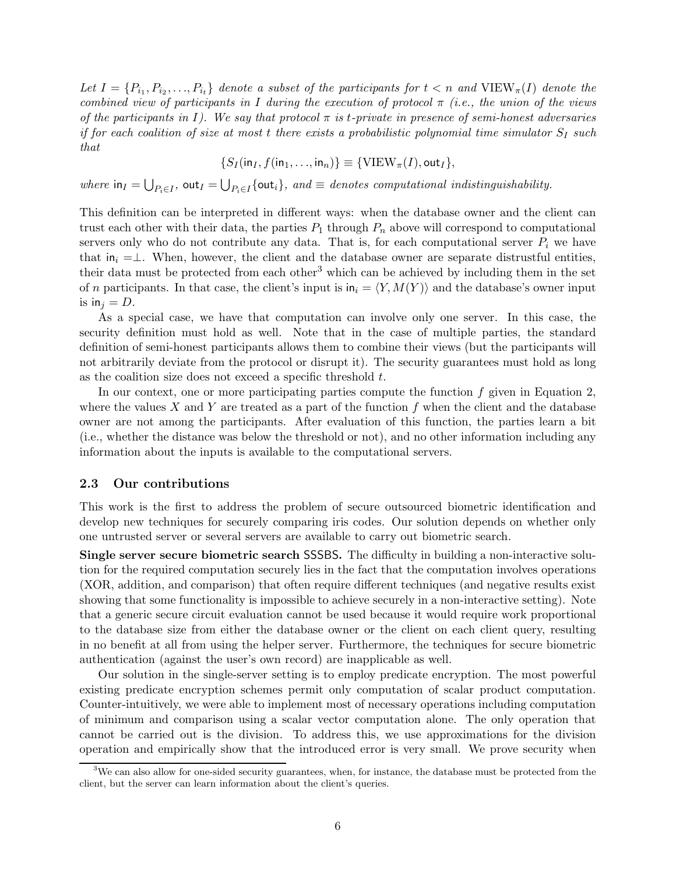Let  $I = \{P_{i_1}, P_{i_2}, \ldots, P_{i_t}\}\$  denote a subset of the participants for  $t < n$  and  $\text{VIEW}_{\pi}(I)$  denote the *combined view of participants in* I *during the execution of protocol* π *(i.e., the union of the views of the participants in* I*). We say that protocol* π *is* t*-private in presence of semi-honest adversaries if for each coalition of size at most t there exists a probabilistic polynomial time simulator*  $S_I$  *such that*

$$
\{S_I(\mathsf{in}_I, f(\mathsf{in}_1, \ldots, \mathsf{in}_n)\} \equiv \{\text{VIEW}_{\pi}(I), \mathsf{out}_I\},\
$$

*where*  $\text{in}_I = \bigcup_{P_i \in I} \text{out}_I = \bigcup_{P_i \in I} \{\text{out}_i\}$ , and  $\equiv$  *denotes computational indistinguishability.* 

This definition can be interpreted in different ways: when the database owner and the client can trust each other with their data, the parties  $P_1$  through  $P_n$  above will correspond to computational servers only who do not contribute any data. That is, for each computational server  $P_i$  we have that in<sub>i</sub> =⊥. When, however, the client and the database owner are separate distrustful entities, their data must be protected from each other<sup>3</sup> which can be achieved by including them in the set of n participants. In that case, the client's input is  $\mathsf{in}_i = \langle Y, M(Y) \rangle$  and the database's owner input is in<sub>i</sub> = D.

As a special case, we have that computation can involve only one server. In this case, the security definition must hold as well. Note that in the case of multiple parties, the standard definition of semi-honest participants allows them to combine their views (but the participants will not arbitrarily deviate from the protocol or disrupt it). The security guarantees must hold as long as the coalition size does not exceed a specific threshold t.

In our context, one or more participating parties compute the function  $f$  given in Equation 2. where the values X and Y are treated as a part of the function f when the client and the database owner are not among the participants. After evaluation of this function, the parties learn a bit (i.e., whether the distance was below the threshold or not), and no other information including any information about the inputs is available to the computational servers.

#### 2.3 Our contributions

This work is the first to address the problem of secure outsourced biometric identification and develop new techniques for securely comparing iris codes. Our solution depends on whether only one untrusted server or several servers are available to carry out biometric search.

Single server secure biometric search SSSBS. The difficulty in building a non-interactive solution for the required computation securely lies in the fact that the computation involves operations (XOR, addition, and comparison) that often require different techniques (and negative results exist showing that some functionality is impossible to achieve securely in a non-interactive setting). Note that a generic secure circuit evaluation cannot be used because it would require work proportional to the database size from either the database owner or the client on each client query, resulting in no benefit at all from using the helper server. Furthermore, the techniques for secure biometric authentication (against the user's own record) are inapplicable as well.

Our solution in the single-server setting is to employ predicate encryption. The most powerful existing predicate encryption schemes permit only computation of scalar product computation. Counter-intuitively, we were able to implement most of necessary operations including computation of minimum and comparison using a scalar vector computation alone. The only operation that cannot be carried out is the division. To address this, we use approximations for the division operation and empirically show that the introduced error is very small. We prove security when

<sup>&</sup>lt;sup>3</sup>We can also allow for one-sided security guarantees, when, for instance, the database must be protected from the client, but the server can learn information about the client's queries.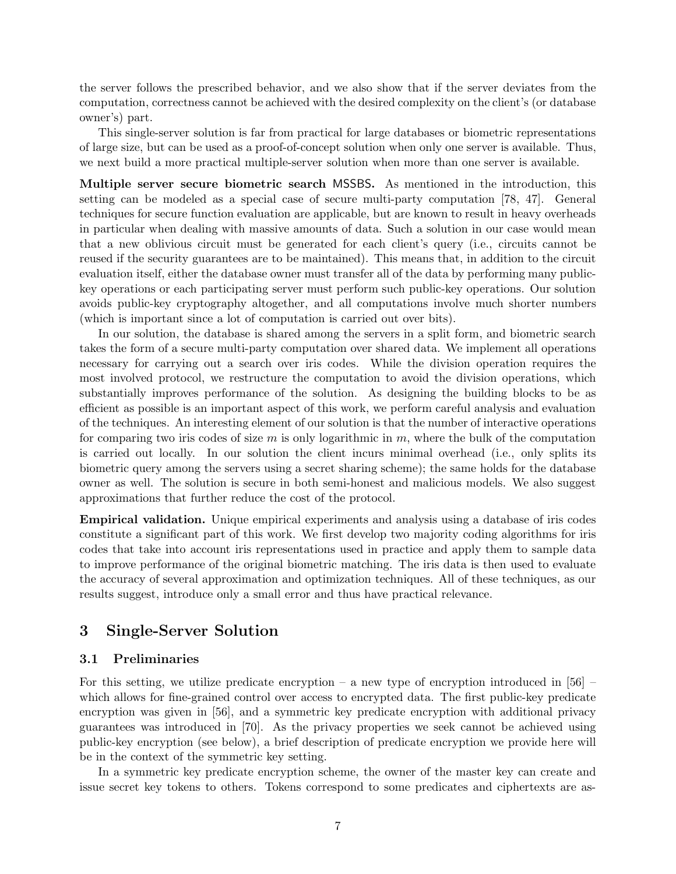the server follows the prescribed behavior, and we also show that if the server deviates from the computation, correctness cannot be achieved with the desired complexity on the client's (or database owner's) part.

This single-server solution is far from practical for large databases or biometric representations of large size, but can be used as a proof-of-concept solution when only one server is available. Thus, we next build a more practical multiple-server solution when more than one server is available.

Multiple server secure biometric search MSSBS. As mentioned in the introduction, this setting can be modeled as a special case of secure multi-party computation [78, 47]. General techniques for secure function evaluation are applicable, but are known to result in heavy overheads in particular when dealing with massive amounts of data. Such a solution in our case would mean that a new oblivious circuit must be generated for each client's query (i.e., circuits cannot be reused if the security guarantees are to be maintained). This means that, in addition to the circuit evaluation itself, either the database owner must transfer all of the data by performing many publickey operations or each participating server must perform such public-key operations. Our solution avoids public-key cryptography altogether, and all computations involve much shorter numbers (which is important since a lot of computation is carried out over bits).

In our solution, the database is shared among the servers in a split form, and biometric search takes the form of a secure multi-party computation over shared data. We implement all operations necessary for carrying out a search over iris codes. While the division operation requires the most involved protocol, we restructure the computation to avoid the division operations, which substantially improves performance of the solution. As designing the building blocks to be as efficient as possible is an important aspect of this work, we perform careful analysis and evaluation of the techniques. An interesting element of our solution is that the number of interactive operations for comparing two iris codes of size  $m$  is only logarithmic in  $m$ , where the bulk of the computation is carried out locally. In our solution the client incurs minimal overhead (i.e., only splits its biometric query among the servers using a secret sharing scheme); the same holds for the database owner as well. The solution is secure in both semi-honest and malicious models. We also suggest approximations that further reduce the cost of the protocol.

Empirical validation. Unique empirical experiments and analysis using a database of iris codes constitute a significant part of this work. We first develop two majority coding algorithms for iris codes that take into account iris representations used in practice and apply them to sample data to improve performance of the original biometric matching. The iris data is then used to evaluate the accuracy of several approximation and optimization techniques. All of these techniques, as our results suggest, introduce only a small error and thus have practical relevance.

# 3 Single-Server Solution

### 3.1 Preliminaries

For this setting, we utilize predicate encryption – a new type of encryption introduced in  $[56]$  – which allows for fine-grained control over access to encrypted data. The first public-key predicate encryption was given in [56], and a symmetric key predicate encryption with additional privacy guarantees was introduced in [70]. As the privacy properties we seek cannot be achieved using public-key encryption (see below), a brief description of predicate encryption we provide here will be in the context of the symmetric key setting.

In a symmetric key predicate encryption scheme, the owner of the master key can create and issue secret key tokens to others. Tokens correspond to some predicates and ciphertexts are as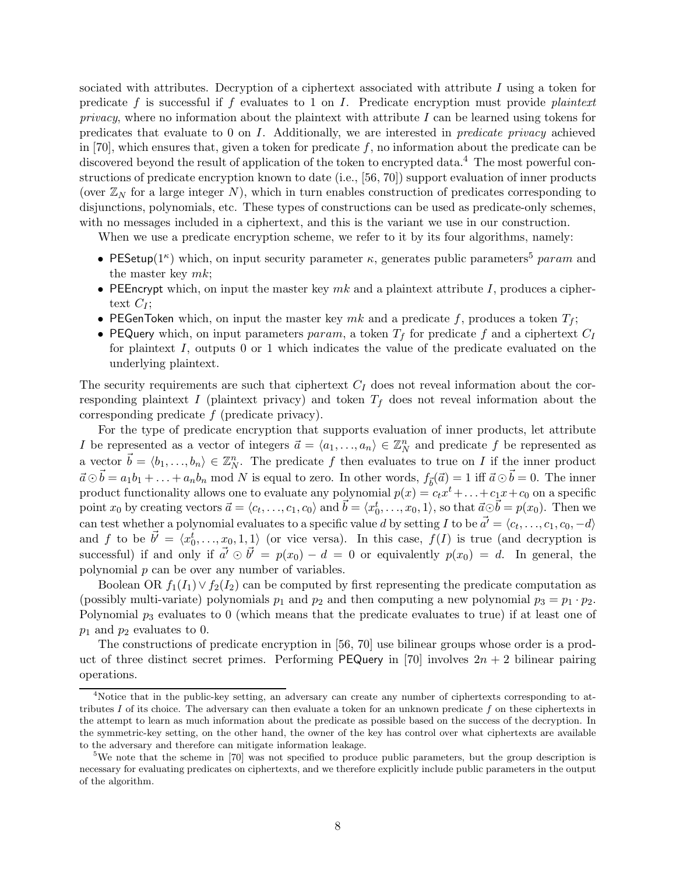sociated with attributes. Decryption of a ciphertext associated with attribute  $I$  using a token for predicate f is successful if f evaluates to 1 on I. Predicate encryption must provide *plaintext privacy*, where no information about the plaintext with attribute I can be learned using tokens for predicates that evaluate to 0 on I. Additionally, we are interested in *predicate privacy* achieved in [70], which ensures that, given a token for predicate  $f$ , no information about the predicate can be discovered beyond the result of application of the token to encrypted data.<sup>4</sup> The most powerful constructions of predicate encryption known to date (i.e., [56, 70]) support evaluation of inner products (over  $\mathbb{Z}_N$  for a large integer N), which in turn enables construction of predicates corresponding to disjunctions, polynomials, etc. These types of constructions can be used as predicate-only schemes, with no messages included in a ciphertext, and this is the variant we use in our construction.

When we use a predicate encryption scheme, we refer to it by its four algorithms, namely:

- PESetup( $1^{\kappa}$ ) which, on input security parameter  $\kappa$ , generates public parameters<sup>5</sup> param and the master key  $mk$ ;
- PEEncrypt which, on input the master key  $mk$  and a plaintext attribute I, produces a ciphertext  $C_I$ ;
- PEGenToken which, on input the master key mk and a predicate f, produces a token  $T_f$ ;
- PEQuery which, on input parameters param, a token  $T_f$  for predicate f and a ciphertext  $C_I$ for plaintext  $I$ , outputs 0 or 1 which indicates the value of the predicate evaluated on the underlying plaintext.

The security requirements are such that ciphertext  $C_I$  does not reveal information about the corresponding plaintext I (plaintext privacy) and token  $T_f$  does not reveal information about the corresponding predicate  $f$  (predicate privacy).

For the type of predicate encryption that supports evaluation of inner products, let attribute I be represented as a vector of integers  $\vec{a} = \langle a_1, \ldots, a_n \rangle \in \mathbb{Z}_N^n$  and predicate f be represented as a vector  $\vec{b} = \langle b_1, \ldots, b_n \rangle \in \mathbb{Z}_N^n$ . The predicate f then evaluates to true on I if the inner product  $\vec{a} \odot \vec{b} = a_1b_1 + \ldots + a_nb_n$  mod N is equal to zero. In other words,  $f_{\vec{b}}(\vec{a}) = 1$  iff  $\vec{a} \odot \vec{b} = 0$ . The inner product functionality allows one to evaluate any polynomial  $p(x) = c_t x^t + \ldots + c_1 x + c_0$  on a specific point  $x_0$  by creating vectors  $\vec{a} = \langle c_t, \ldots, c_1, c_0 \rangle$  and  $\vec{b} = \langle x_0^t, \ldots, x_0, 1 \rangle$ , so that  $\vec{a} \odot \vec{b} = p(x_0)$ . Then we  $\text{can test whether a polynomial evaluates to a specific value } d \text{ by setting } I \text{ to be } \vec{a'} = \langle c_t, \ldots, c_1, c_0, -d \rangle$ and f to be  $\vec{b'} = \langle x_0^t, \ldots, x_0, 1, 1 \rangle$  (or vice versa). In this case,  $f(I)$  is true (and decryption is successful) if and only if  $\vec{a'} \odot \vec{b'} = p(x_0) - d = 0$  or equivalently  $p(x_0) = d$ . In general, the polynomial  $p$  can be over any number of variables.

Boolean OR  $f_1(I_1) \vee f_2(I_2)$  can be computed by first representing the predicate computation as (possibly multi-variate) polynomials  $p_1$  and  $p_2$  and then computing a new polynomial  $p_3 = p_1 \cdot p_2$ . Polynomial  $p_3$  evaluates to 0 (which means that the predicate evaluates to true) if at least one of  $p_1$  and  $p_2$  evaluates to 0.

The constructions of predicate encryption in [56, 70] use bilinear groups whose order is a product of three distinct secret primes. Performing PEQuery in [70] involves  $2n + 2$  bilinear pairing operations.

<sup>&</sup>lt;sup>4</sup>Notice that in the public-key setting, an adversary can create any number of ciphertexts corresponding to attributes I of its choice. The adversary can then evaluate a token for an unknown predicate  $f$  on these ciphertexts in the attempt to learn as much information about the predicate as possible based on the success of the decryption. In the symmetric-key setting, on the other hand, the owner of the key has control over what ciphertexts are available to the adversary and therefore can mitigate information leakage.

<sup>&</sup>lt;sup>5</sup>We note that the scheme in [70] was not specified to produce public parameters, but the group description is necessary for evaluating predicates on ciphertexts, and we therefore explicitly include public parameters in the output of the algorithm.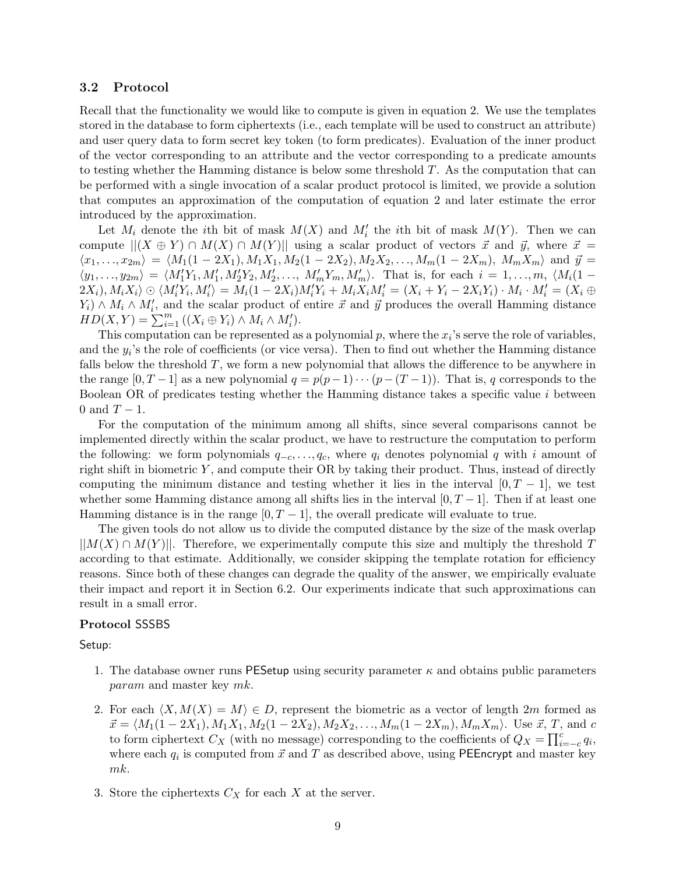#### 3.2 Protocol

Recall that the functionality we would like to compute is given in equation 2. We use the templates stored in the database to form ciphertexts (i.e., each template will be used to construct an attribute) and user query data to form secret key token (to form predicates). Evaluation of the inner product of the vector corresponding to an attribute and the vector corresponding to a predicate amounts to testing whether the Hamming distance is below some threshold  $T$ . As the computation that can be performed with a single invocation of a scalar product protocol is limited, we provide a solution that computes an approximation of the computation of equation 2 and later estimate the error introduced by the approximation.

Let  $M_i$  denote the *i*th bit of mask  $M(X)$  and  $M'_i$  the *i*th bit of mask  $M(Y)$ . Then we can compute  $||(X \oplus Y) \cap M(X) \cap M(Y)||$  using a scalar product of vectors  $\vec{x}$  and  $\vec{y}$ , where  $\vec{x}$  =  $\langle x_1, \ldots, x_{2m} \rangle = \langle M_1(1 - 2X_1), M_1X_1, M_2(1 - 2X_2), M_2X_2, \ldots, M_m(1 - 2X_m), M_mX_m \rangle$  and  $\vec{y} =$  $\langle y_1, \ldots, y_{2m} \rangle = \langle M'_1Y_1, M'_1, M'_2Y_2, M'_2, \ldots, M'_mY_m, M'_m \rangle$ . That is, for each  $i = 1, \ldots, m, \langle M_i(1 - x_{2m}) \rangle$  $\langle 2X_i), M_iX_i\rangle\odot \langle M_i'\overline{Y}_i,M_i'\rangle = M_i(1-2X_i)M_i'Y_i+M_i\overline{X}_iM_i'=(X_i+Y_i-2X_iY_i)\cdot M_i\cdot M_i'=(X_i+Y_i+Y_i+Y_i+Y_i)$  $(Y_i) \wedge M_i \wedge M'_i$ , and the scalar product of entire  $\vec{x}$  and  $\vec{y}$  produces the overall Hamming distance  $HD(X,Y) = \sum_{i=1}^{m} ((X_i \oplus Y_i) \wedge M_i \wedge M'_i).$ 

This computation can be represented as a polynomial  $p$ , where the  $x_i$ 's serve the role of variables, and the  $y_i$ 's the role of coefficients (or vice versa). Then to find out whether the Hamming distance falls below the threshold T, we form a new polynomial that allows the difference to be anywhere in the range  $[0, T-1]$  as a new polynomial  $q = p(p-1)\cdots(p-(T-1))$ . That is, q corresponds to the Boolean OR of predicates testing whether the Hamming distance takes a specific value i between 0 and  $T-1$ .

For the computation of the minimum among all shifts, since several comparisons cannot be implemented directly within the scalar product, we have to restructure the computation to perform the following: we form polynomials  $q_{-c}, \ldots, q_c$ , where  $q_i$  denotes polynomial q with i amount of right shift in biometric Y , and compute their OR by taking their product. Thus, instead of directly computing the minimum distance and testing whether it lies in the interval  $[0, T - 1]$ , we test whether some Hamming distance among all shifts lies in the interval  $[0, T - 1]$ . Then if at least one Hamming distance is in the range  $[0, T - 1]$ , the overall predicate will evaluate to true.

The given tools do not allow us to divide the computed distance by the size of the mask overlap  $||M(X) \cap M(Y)||$ . Therefore, we experimentally compute this size and multiply the threshold T according to that estimate. Additionally, we consider skipping the template rotation for efficiency reasons. Since both of these changes can degrade the quality of the answer, we empirically evaluate their impact and report it in Section 6.2. Our experiments indicate that such approximations can result in a small error.

#### Protocol SSSBS

Setup:

- 1. The database owner runs PESetup using security parameter  $\kappa$  and obtains public parameters param and master key mk.
- 2. For each  $\langle X, M(X) = M \rangle \in D$ , represent the biometric as a vector of length 2m formed as  $\vec{x} = \langle M_1(1 - 2X_1), M_1X_1, M_2(1 - 2X_2), M_2X_2, \ldots, M_m(1 - 2X_m), M_mX_m \rangle$ . Use  $\vec{x}, T$ , and c to form ciphertext  $C_X$  (with no message) corresponding to the coefficients of  $Q_X = \prod_{i=-c}^{c} q_i$ , where each  $q_i$  is computed from  $\vec{x}$  and  $T$  as described above, using PEEncrypt and master key mk.
- 3. Store the ciphertexts  $C_X$  for each X at the server.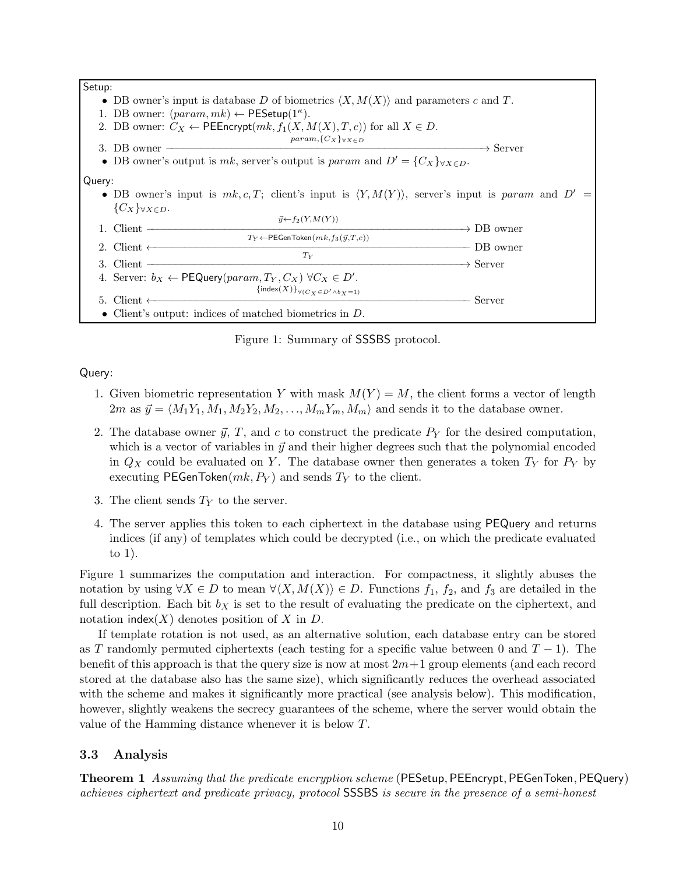

Figure 1: Summary of SSSBS protocol.

Query:

- 1. Given biometric representation Y with mask  $M(Y) = M$ , the client forms a vector of length  $2m$  as  $\vec{y} = \langle M_1Y_1, M_1, M_2Y_2, M_2, \ldots, M_mY_m, M_m \rangle$  and sends it to the database owner.
- 2. The database owner  $\vec{y}$ , T, and c to construct the predicate  $P_Y$  for the desired computation, which is a vector of variables in  $\vec{y}$  and their higher degrees such that the polynomial encoded in  $Q_X$  could be evaluated on Y. The database owner then generates a token  $T_Y$  for  $P_Y$  by executing PEGenToken $(mk, P_Y)$  and sends  $T_Y$  to the client.
- 3. The client sends  $T<sub>Y</sub>$  to the server.
- 4. The server applies this token to each ciphertext in the database using PEQuery and returns indices (if any) of templates which could be decrypted (i.e., on which the predicate evaluated to 1).

Figure 1 summarizes the computation and interaction. For compactness, it slightly abuses the notation by using  $\forall X \in D$  to mean  $\forall \langle X, M(X) \rangle \in D$ . Functions  $f_1, f_2$ , and  $f_3$  are detailed in the full description. Each bit  $b<sub>X</sub>$  is set to the result of evaluating the predicate on the ciphertext, and notation index(X) denotes position of X in  $D$ .

If template rotation is not used, as an alternative solution, each database entry can be stored as T randomly permuted ciphertexts (each testing for a specific value between 0 and  $T-1$ ). The benefit of this approach is that the query size is now at most  $2m+1$  group elements (and each record stored at the database also has the same size), which significantly reduces the overhead associated with the scheme and makes it significantly more practical (see analysis below). This modification, however, slightly weakens the secrecy guarantees of the scheme, where the server would obtain the value of the Hamming distance whenever it is below T.

### 3.3 Analysis

Theorem 1 *Assuming that the predicate encryption scheme* (PESetup, PEEncrypt, PEGenToken, PEQuery) *achieves ciphertext and predicate privacy, protocol* SSSBS *is secure in the presence of a semi-honest*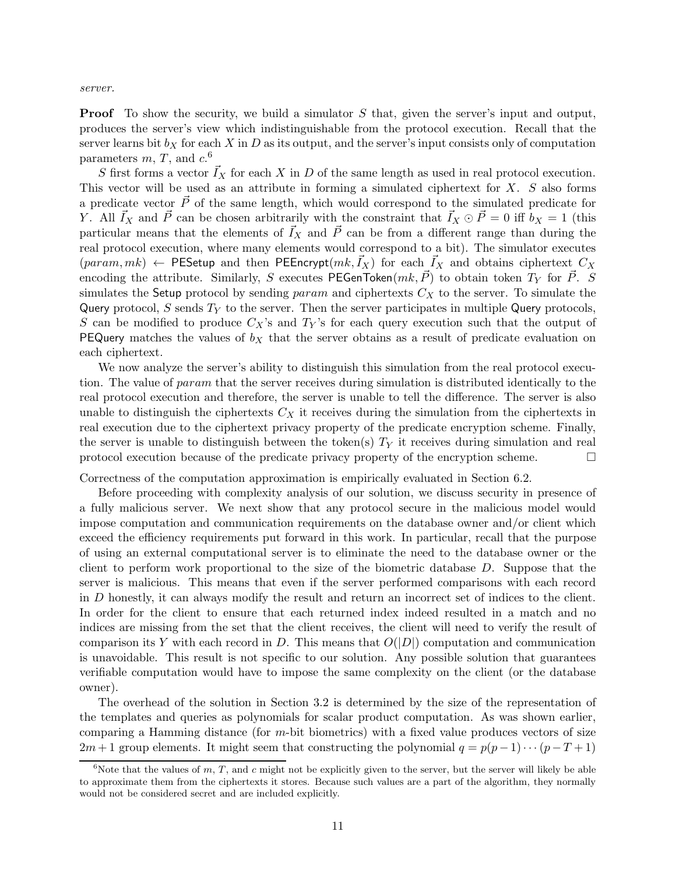*server.*

**Proof** To show the security, we build a simulator S that, given the server's input and output, produces the server's view which indistinguishable from the protocol execution. Recall that the server learns bit  $b<sub>X</sub>$  for each X in D as its output, and the server's input consists only of computation parameters  $m, T$ , and  $c$ <sup>6</sup>

S first forms a vector  $\bar{I}_X$  for each X in D of the same length as used in real protocol execution. This vector will be used as an attribute in forming a simulated ciphertext for  $X$ .  $S$  also forms a predicate vector  $\vec{P}$  of the same length, which would correspond to the simulated predicate for Y. All  $\vec{I}_X$  and  $\vec{P}$  can be chosen arbitrarily with the constraint that  $\vec{I}_X \odot \vec{P} = 0$  iff  $b_X = 1$  (this particular means that the elements of  $\vec{I}_X$  and  $\vec{P}$  can be from a different range than during the real protocol execution, where many elements would correspond to a bit). The simulator executes  $(param, mk) \leftarrow$  PESetup and then PEEncrypt $(mk, I_X)$  for each  $I_X$  and obtains ciphertext  $C_X$ encoding the attribute. Similarly, S executes PEGenToken $(mk, \vec{P})$  to obtain token  $T_Y$  for  $\vec{P}$ . S simulates the Setup protocol by sending param and ciphertexts  $C_X$  to the server. To simulate the Query protocol, S sends  $T_Y$  to the server. Then the server participates in multiple Query protocols, S can be modified to produce  $C_X$ 's and  $T_Y$ 's for each query execution such that the output of **PEQuery** matches the values of  $b<sub>X</sub>$  that the server obtains as a result of predicate evaluation on each ciphertext.

We now analyze the server's ability to distinguish this simulation from the real protocol execution. The value of param that the server receives during simulation is distributed identically to the real protocol execution and therefore, the server is unable to tell the difference. The server is also unable to distinguish the ciphertexts  $C_X$  it receives during the simulation from the ciphertexts in real execution due to the ciphertext privacy property of the predicate encryption scheme. Finally, the server is unable to distinguish between the token(s)  $T<sub>Y</sub>$  it receives during simulation and real protocol execution because of the predicate privacy property of the encryption scheme.  $\Box$ 

Correctness of the computation approximation is empirically evaluated in Section 6.2.

Before proceeding with complexity analysis of our solution, we discuss security in presence of a fully malicious server. We next show that any protocol secure in the malicious model would impose computation and communication requirements on the database owner and/or client which exceed the efficiency requirements put forward in this work. In particular, recall that the purpose of using an external computational server is to eliminate the need to the database owner or the client to perform work proportional to the size of the biometric database D. Suppose that the server is malicious. This means that even if the server performed comparisons with each record in D honestly, it can always modify the result and return an incorrect set of indices to the client. In order for the client to ensure that each returned index indeed resulted in a match and no indices are missing from the set that the client receives, the client will need to verify the result of comparison its Y with each record in D. This means that  $O(|D|)$  computation and communication is unavoidable. This result is not specific to our solution. Any possible solution that guarantees verifiable computation would have to impose the same complexity on the client (or the database owner).

The overhead of the solution in Section 3.2 is determined by the size of the representation of the templates and queries as polynomials for scalar product computation. As was shown earlier, comparing a Hamming distance (for  $m$ -bit biometrics) with a fixed value produces vectors of size  $2m+1$  group elements. It might seem that constructing the polynomial  $q = p(p-1)\cdots(p-T+1)$ 

<sup>&</sup>lt;sup>6</sup>Note that the values of m, T, and c might not be explicitly given to the server, but the server will likely be able to approximate them from the ciphertexts it stores. Because such values are a part of the algorithm, they normally would not be considered secret and are included explicitly.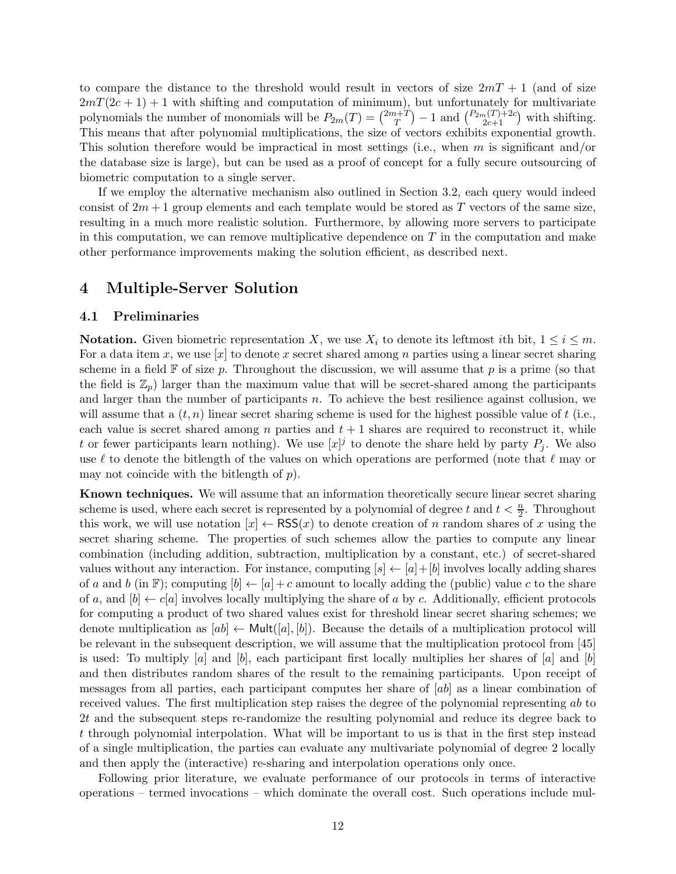to compare the distance to the threshold would result in vectors of size  $2mT + 1$  (and of size  $2mT(2c+1) + 1$  with shifting and computation of minimum), but unfortunately for multivariate polynomials the number of monomials will be  $P_{2m}(T) = \binom{2m+T}{T}$  $\binom{n+T}{T} - 1$  and  $\binom{P_{2m}(T)+2c}{2c+1}$  with shifting. This means that after polynomial multiplications, the size of vectors exhibits exponential growth. This solution therefore would be impractical in most settings (i.e., when  $m$  is significant and/or the database size is large), but can be used as a proof of concept for a fully secure outsourcing of biometric computation to a single server.

If we employ the alternative mechanism also outlined in Section 3.2, each query would indeed consist of  $2m+1$  group elements and each template would be stored as T vectors of the same size, resulting in a much more realistic solution. Furthermore, by allowing more servers to participate in this computation, we can remove multiplicative dependence on  $T$  in the computation and make other performance improvements making the solution efficient, as described next.

## 4 Multiple-Server Solution

#### 4.1 Preliminaries

**Notation.** Given biometric representation X, we use  $X_i$  to denote its leftmost ith bit,  $1 \leq i \leq m$ . For a data item x, we use  $[x]$  to denote x secret shared among n parties using a linear secret sharing scheme in a field  $\mathbb F$  of size p. Throughout the discussion, we will assume that p is a prime (so that the field is  $\mathbb{Z}_p$  larger than the maximum value that will be secret-shared among the participants and larger than the number of participants  $n$ . To achieve the best resilience against collusion, we will assume that a  $(t, n)$  linear secret sharing scheme is used for the highest possible value of t (i.e., each value is secret shared among n parties and  $t + 1$  shares are required to reconstruct it, while t or fewer participants learn nothing). We use  $[x]^j$  to denote the share held by party  $P_j$ . We also use  $\ell$  to denote the bitlength of the values on which operations are performed (note that  $\ell$  may or may not coincide with the bitlength of  $p$ ).

Known techniques. We will assume that an information theoretically secure linear secret sharing scheme is used, where each secret is represented by a polynomial of degree t and  $t < \frac{n}{2}$ . Throughout this work, we will use notation  $[x] \leftarrow \text{RSS}(x)$  to denote creation of n random shares of x using the secret sharing scheme. The properties of such schemes allow the parties to compute any linear combination (including addition, subtraction, multiplication by a constant, etc.) of secret-shared values without any interaction. For instance, computing  $[s] \leftarrow [a] + [b]$  involves locally adding shares of a and b (in F); computing  $[b] \leftarrow [a] + c$  amount to locally adding the (public) value c to the share of a, and  $[b] \leftarrow c[a]$  involves locally multiplying the share of a by c. Additionally, efficient protocols for computing a product of two shared values exist for threshold linear secret sharing schemes; we denote multiplication as  $[ab] \leftarrow \text{Mult}([a], [b])$ . Because the details of a multiplication protocol will be relevant in the subsequent description, we will assume that the multiplication protocol from [45] is used: To multiply  $[a]$  and  $[b]$ , each participant first locally multiplies her shares of  $[a]$  and  $[b]$ and then distributes random shares of the result to the remaining participants. Upon receipt of messages from all parties, each participant computes her share of  $[ab]$  as a linear combination of received values. The first multiplication step raises the degree of the polynomial representing ab to 2t and the subsequent steps re-randomize the resulting polynomial and reduce its degree back to t through polynomial interpolation. What will be important to us is that in the first step instead of a single multiplication, the parties can evaluate any multivariate polynomial of degree 2 locally and then apply the (interactive) re-sharing and interpolation operations only once.

Following prior literature, we evaluate performance of our protocols in terms of interactive operations – termed invocations – which dominate the overall cost. Such operations include mul-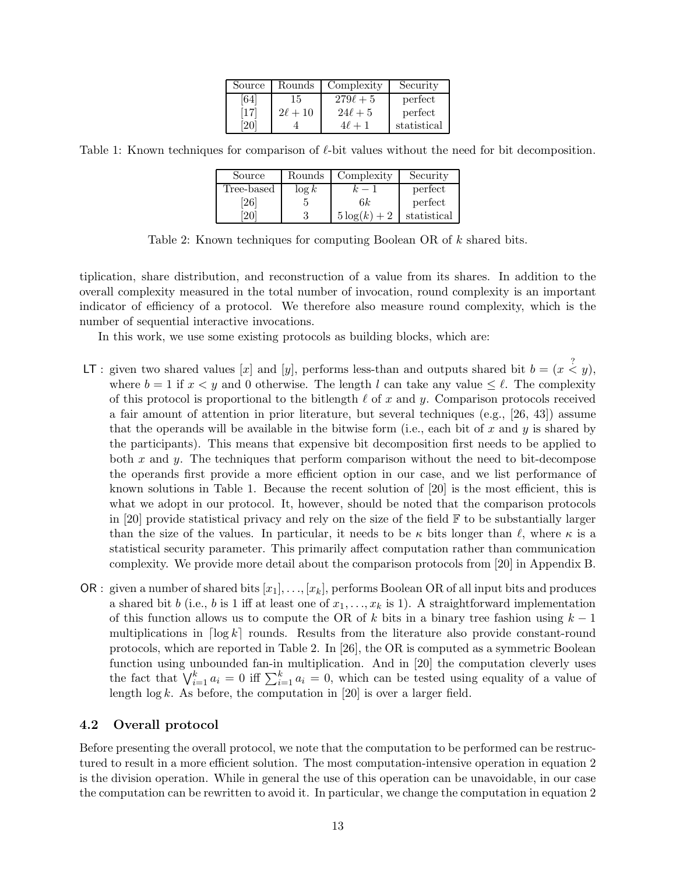| Source | Rounds       | Complexity    | Security    |
|--------|--------------|---------------|-------------|
| .641   | 15           | $279\ell + 5$ | perfect     |
| '17    | $2\ell + 10$ | $24\ell + 5$  | perfect     |
|        |              | $4\ell +$     | statistical |

Table 1: Known techniques for comparison of  $\ell$ -bit values without the need for bit decomposition.

| Source            | Rounds   | Complexity     | Security    |
|-------------------|----------|----------------|-------------|
| Tree-based        | $\log k$ |                | perfect     |
| $\left[26\right]$ |          | 6k             | perfect     |
|                   |          | $5\log(k) + 2$ | statistical |

Table 2: Known techniques for computing Boolean OR of k shared bits.

tiplication, share distribution, and reconstruction of a value from its shares. In addition to the overall complexity measured in the total number of invocation, round complexity is an important indicator of efficiency of a protocol. We therefore also measure round complexity, which is the number of sequential interactive invocations.

In this work, we use some existing protocols as building blocks, which are:

- LT: given two shared values [x] and [y], performs less-than and outputs shared bit  $b = (x \stackrel{?}{\le} y)$ , where  $b = 1$  if  $x < y$  and 0 otherwise. The length l can take any value  $\leq \ell$ . The complexity of this protocol is proportional to the bitlength  $\ell$  of x and y. Comparison protocols received a fair amount of attention in prior literature, but several techniques (e.g., [26, 43]) assume that the operands will be available in the bitwise form (i.e., each bit of x and y is shared by the participants). This means that expensive bit decomposition first needs to be applied to both x and y. The techniques that perform comparison without the need to bit-decompose the operands first provide a more efficient option in our case, and we list performance of known solutions in Table 1. Because the recent solution of [20] is the most efficient, this is what we adopt in our protocol. It, however, should be noted that the comparison protocols in [20] provide statistical privacy and rely on the size of the field  $\mathbb F$  to be substantially larger than the size of the values. In particular, it needs to be  $\kappa$  bits longer than  $\ell$ , where  $\kappa$  is a statistical security parameter. This primarily affect computation rather than communication complexity. We provide more detail about the comparison protocols from [20] in Appendix B.
- OR : given a number of shared bits  $[x_1], \ldots, [x_k]$ , performs Boolean OR of all input bits and produces a shared bit b (i.e., b is 1 iff at least one of  $x_1, \ldots, x_k$  is 1). A straightforward implementation of this function allows us to compute the OR of k bits in a binary tree fashion using  $k-1$ multiplications in  $\lceil \log k \rceil$  rounds. Results from the literature also provide constant-round protocols, which are reported in Table 2. In [26], the OR is computed as a symmetric Boolean function using unbounded fan-in multiplication. And in [20] the computation cleverly uses the fact that  $\bigvee_{i=1}^{k} a_i = 0$  iff  $\sum_{i=1}^{k} a_i = 0$ , which can be tested using equality of a value of length  $\log k$ . As before, the computation in [20] is over a larger field.

### 4.2 Overall protocol

Before presenting the overall protocol, we note that the computation to be performed can be restructured to result in a more efficient solution. The most computation-intensive operation in equation 2 is the division operation. While in general the use of this operation can be unavoidable, in our case the computation can be rewritten to avoid it. In particular, we change the computation in equation 2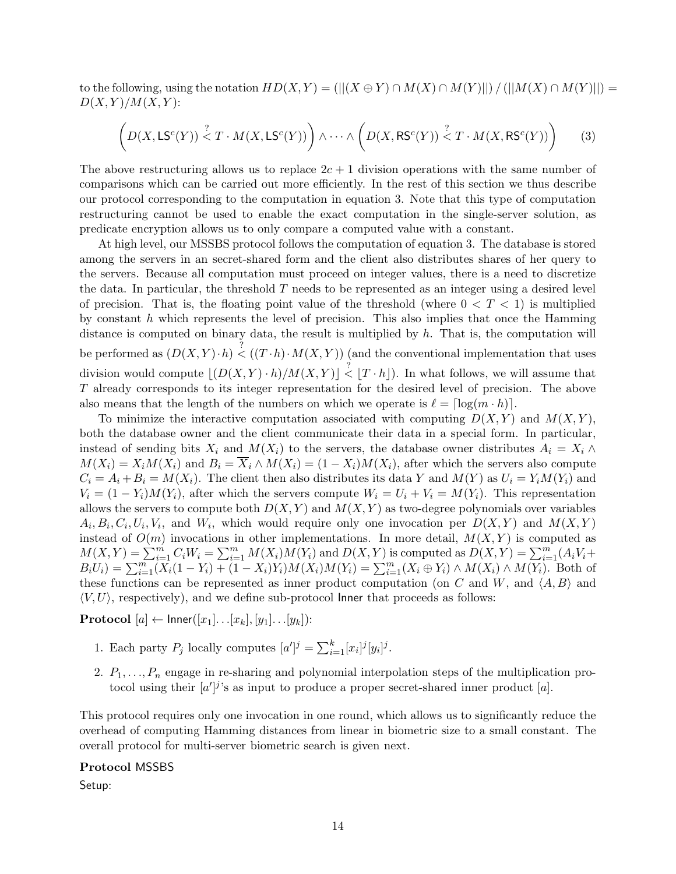to the following, using the notation  $HD(X, Y) = (||(X \oplus Y) \cap M(X) \cap M(Y) ||) / (||M(X) \cap M(Y) ||) =$  $D(X, Y)/M(X, Y)$ :

$$
\left(D(X, \mathsf{LS}^c(Y)) \stackrel{?}{\leq} T \cdot M(X, \mathsf{LS}^c(Y))\right) \wedge \dots \wedge \left(D(X, \mathsf{RS}^c(Y)) \stackrel{?}{\leq} T \cdot M(X, \mathsf{RS}^c(Y))\right) \tag{3}
$$

The above restructuring allows us to replace  $2c + 1$  division operations with the same number of comparisons which can be carried out more efficiently. In the rest of this section we thus describe our protocol corresponding to the computation in equation 3. Note that this type of computation restructuring cannot be used to enable the exact computation in the single-server solution, as predicate encryption allows us to only compare a computed value with a constant.

At high level, our MSSBS protocol follows the computation of equation 3. The database is stored among the servers in an secret-shared form and the client also distributes shares of her query to the servers. Because all computation must proceed on integer values, there is a need to discretize the data. In particular, the threshold T needs to be represented as an integer using a desired level of precision. That is, the floating point value of the threshold (where  $0 < T < 1$ ) is multiplied by constant  $h$  which represents the level of precision. This also implies that once the Hamming distance is computed on binary data, the result is multiplied by  $h$ . That is, the computation will be performed as  $(D(X, Y) \cdot h) \stackrel{?}{\leq} ((T \cdot h) \cdot M(X, Y))$  (and the conventional implementation that uses division would compute  $\lfloor (D(X, Y) \cdot h)/M(X, Y) \rfloor \overset{?}{\leq} \lfloor T \cdot h \rfloor$ . In what follows, we will assume that T already corresponds to its integer representation for the desired level of precision. The above also means that the length of the numbers on which we operate is  $\ell = \lceil \log(m \cdot h) \rceil$ .

To minimize the interactive computation associated with computing  $D(X, Y)$  and  $M(X, Y)$ , both the database owner and the client communicate their data in a special form. In particular, instead of sending bits  $X_i$  and  $M(X_i)$  to the servers, the database owner distributes  $A_i = X_i \wedge$  $M(X_i) = X_i M(X_i)$  and  $B_i = \overline{X_i} \wedge M(X_i) = (1 - X_i) M(X_i)$ , after which the servers also compute  $C_i = A_i + B_i = M(X_i)$ . The client then also distributes its data Y and  $M(Y)$  as  $U_i = Y_i M(Y_i)$  and  $V_i = (1 - Y_i)M(Y_i)$ , after which the servers compute  $W_i = U_i + V_i = M(Y_i)$ . This representation allows the servers to compute both  $D(X, Y)$  and  $M(X, Y)$  as two-degree polynomials over variables  $A_i, B_i, C_i, U_i, V_i$ , and  $W_i$ , which would require only one invocation per  $D(X, Y)$  and  $M(X, Y)$ instead of  $O(m)$  invocations in other implementations. In more detail,  $M(X, Y)$  is computed as  $M(X,Y) = \sum_{i=1}^{m} C_i W_i = \sum_{i=1}^{m} M(X_i) M(Y_i)$  and  $D(X,Y)$  is computed as  $D(X,Y) = \sum_{i=1}^{m} (A_i V_i +$  $B_iU_i) = \sum_{i=1}^{m} (X_i(1 - Y_i) + (1 - X_i)Y_i)M(X_i)M(Y_i) = \sum_{i=1}^{m} (X_i \oplus Y_i) \wedge M(X_i) \wedge M(Y_i)$ . Both of these functions can be represented as inner product computation (on C and W, and  $\langle A, B \rangle$  and  $\langle V, U \rangle$ , respectively), and we define sub-protocol Inner that proceeds as follows:

**Protocol**  $[a] \leftarrow$  Inner $([x_1] \dots [x_k], [y_1] \dots [y_k])$ :

- 1. Each party  $P_j$  locally computes  $[a']^j = \sum_{i=1}^k [x_i]^j [y_i]^j$ .
- 2.  $P_1, \ldots, P_n$  engage in re-sharing and polynomial interpolation steps of the multiplication protocol using their  $[a']^j$ 's as input to produce a proper secret-shared inner product [a].

This protocol requires only one invocation in one round, which allows us to significantly reduce the overhead of computing Hamming distances from linear in biometric size to a small constant. The overall protocol for multi-server biometric search is given next.

#### Protocol MSSBS

Setup: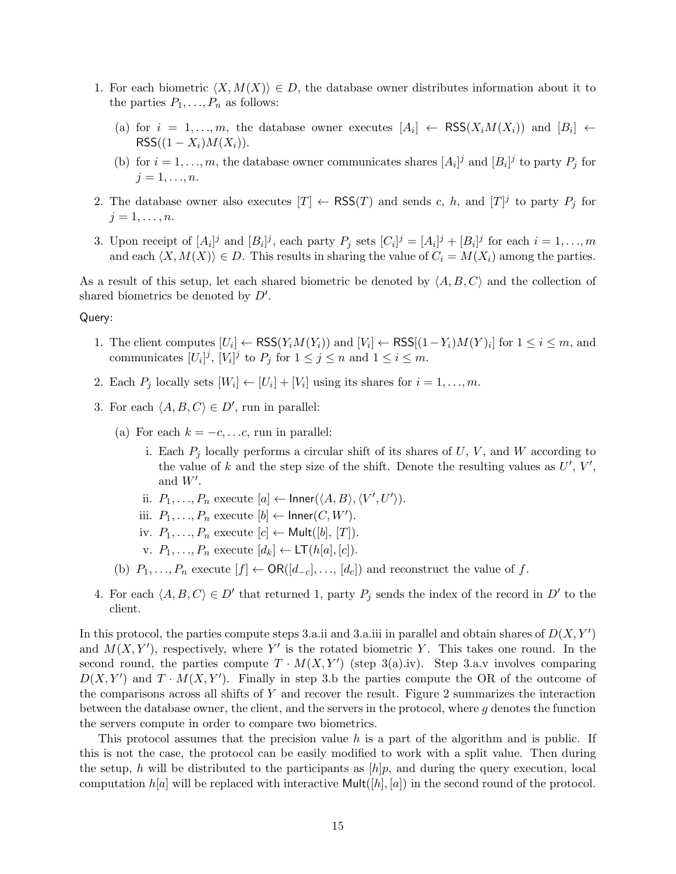- 1. For each biometric  $\langle X, M(X) \rangle \in D$ , the database owner distributes information about it to the parties  $P_1, \ldots, P_n$  as follows:
	- (a) for  $i = 1, ..., m$ , the database owner executes  $[A_i] \leftarrow \text{RSS}(X_i M(X_i))$  and  $[B_i] \leftarrow \text{RSS}(X_i M(X_i))$  $RSS((1 - X_i)M(X_i)).$
	- (b) for  $i = 1, ..., m$ , the database owner communicates shares  $[A_i]^j$  and  $[B_i]^j$  to party  $P_j$  for  $j = 1, \ldots, n$ .
- 2. The database owner also executes  $[T] \leftarrow \text{RSS}(T)$  and sends c, h, and  $[T]^j$  to party  $P_j$  for  $j=1,\ldots,n$ .
- 3. Upon receipt of  $[A_i]^j$  and  $[B_i]^j$ , each party  $P_j$  sets  $[C_i]^j = [A_i]^j + [B_i]^j$  for each  $i = 1, ..., m$ and each  $\langle X, M(X) \rangle \in D$ . This results in sharing the value of  $C_i = M(X_i)$  among the parties.

As a result of this setup, let each shared biometric be denoted by  $\langle A, B, C \rangle$  and the collection of shared biometrics be denoted by  $D'$ .

#### Query:

- 1. The client computes  $[U_i] \leftarrow \text{RSS}(Y_i M(Y_i))$  and  $[V_i] \leftarrow \text{RSS}[(1 Y_i)M(Y)_i]$  for  $1 \le i \le m$ , and communicates  $[U_i]^j$ ,  $[V_i]^j$  to  $P_j$  for  $1 \le j \le n$  and  $1 \le i \le m$ .
- 2. Each  $P_j$  locally sets  $[W_i] \leftarrow [U_i] + [V_i]$  using its shares for  $i = 1, \ldots, m$ .
- 3. For each  $\langle A, B, C \rangle \in D'$ , run in parallel:
	- (a) For each  $k = -c, \ldots, c$ , run in parallel:
		- i. Each  $P_i$  locally performs a circular shift of its shares of U, V, and W according to the value of k and the step size of the shift. Denote the resulting values as  $U', V',$ and  $W'$ .
		- ii.  $P_1, \ldots, P_n$  execute  $[a] \leftarrow$  Inner $(\langle A, B \rangle, \langle V', U' \rangle)$ .
		- iii.  $P_1, \ldots, P_n$  execute  $[b] \leftarrow \mathsf{Inner}(C, W').$
		- iv.  $P_1, \ldots, P_n$  execute  $[c] \leftarrow \mathsf{Mult}([b], [T])$ .
		- v.  $P_1, \ldots, P_n$  execute  $[d_k] \leftarrow \mathsf{LT}(h[a], [c]).$
	- (b)  $P_1, \ldots, P_n$  execute  $[f] \leftarrow \mathsf{OR}([d_{-c}], \ldots, [d_c])$  and reconstruct the value of f.
- 4. For each  $\langle A, B, C \rangle \in D'$  that returned 1, party  $P_j$  sends the index of the record in D' to the client.

In this protocol, the parties compute steps 3.a.ii and 3.a.iii in parallel and obtain shares of  $D(X, Y')$ and  $M(X, Y')$ , respectively, where Y' is the rotated biometric Y. This takes one round. In the second round, the parties compute  $T \cdot M(X, Y')$  (step 3(a).iv). Step 3.a.v involves comparing  $D(X, Y')$  and  $T \cdot M(X, Y')$ . Finally in step 3.b the parties compute the OR of the outcome of the comparisons across all shifts of Y and recover the result. Figure 2 summarizes the interaction between the database owner, the client, and the servers in the protocol, where  $g$  denotes the function the servers compute in order to compare two biometrics.

This protocol assumes that the precision value h is a part of the algorithm and is public. If this is not the case, the protocol can be easily modified to work with a split value. Then during the setup, h will be distributed to the participants as  $[h]p$ , and during the query execution, local computation  $h[a]$  will be replaced with interactive Mult $([h], [a])$  in the second round of the protocol.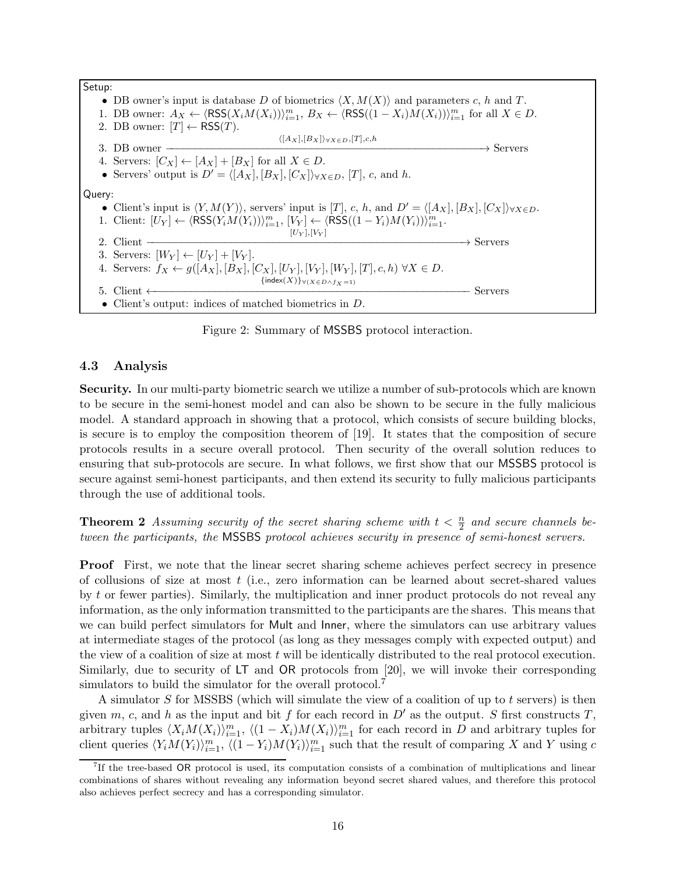| Setup: |                                                                                                                                                                          |                       |
|--------|--------------------------------------------------------------------------------------------------------------------------------------------------------------------------|-----------------------|
|        | • DB owner's input is database D of biometrics $\langle X, M(X) \rangle$ and parameters c, h and T.                                                                      |                       |
|        | 1. DB owner: $A_X \leftarrow \langle \text{RSS}(X_i M(X_i)) \rangle_{i=1}^m$ , $B_X \leftarrow \langle \text{RSS}((1 - X_i) M(X_i)) \rangle_{i=1}^m$ for all $X \in D$ . |                       |
|        | 2. DB owner: $[T] \leftarrow \text{RSS}(T)$ .                                                                                                                            |                       |
|        | $\langle [A_X], [B_X] \rangle_{\forall X \in D}, [T], c, h$                                                                                                              |                       |
|        | 3. DB owner                                                                                                                                                              | $\rightarrow$ Servers |
|        | 4. Servers: $[C_X] \leftarrow [A_X] + [B_X]$ for all $X \in D$ .                                                                                                         |                       |
|        | • Servers' output is $D' = \langle [A_X], [B_X], [C_X] \rangle_{\forall X \in D}$ , [T], c, and h.                                                                       |                       |
| Query: |                                                                                                                                                                          |                       |
|        | • Client's input is $\langle Y, M(Y) \rangle$ , servers' input is $[T]$ , c, h, and $D' = \langle [A_X], [B_X], [C_X] \rangle_{\forall X \in D}$ .                       |                       |
|        | 1. Client: $[U_Y] \leftarrow \langle \text{RSS}(Y_i M(Y_i)) \rangle_{i=1}^m$ , $[V_Y] \leftarrow \langle \text{RSS}((1 - Y_i) M(Y_i)) \rangle_{i=1}^m$ .                 |                       |
|        | $[U_Y], [V_Y]$                                                                                                                                                           |                       |
|        | 2. Client                                                                                                                                                                | $\rightarrow$ Servers |
|        | 3. Servers: $[W_Y] \leftarrow [U_Y] + [V_Y]$ .                                                                                                                           |                       |
|        | 4. Servers: $f_X \leftarrow g([A_X], [B_X], [C_X], [U_Y], [V_Y], [W_Y], [T], c, h) \ \forall X \in D$ .                                                                  |                       |
|        | $\{\text{index}(X)\}\forall (X \in D \land f_{\mathbf{Y}}=1)$                                                                                                            |                       |
|        | 5. Client $\leftarrow$                                                                                                                                                   | Servers               |
|        | • Client's output: indices of matched biometrics in $D$ .                                                                                                                |                       |

Figure 2: Summary of MSSBS protocol interaction.

### 4.3 Analysis

Security. In our multi-party biometric search we utilize a number of sub-protocols which are known to be secure in the semi-honest model and can also be shown to be secure in the fully malicious model. A standard approach in showing that a protocol, which consists of secure building blocks, is secure is to employ the composition theorem of [19]. It states that the composition of secure protocols results in a secure overall protocol. Then security of the overall solution reduces to ensuring that sub-protocols are secure. In what follows, we first show that our MSSBS protocol is secure against semi-honest participants, and then extend its security to fully malicious participants through the use of additional tools.

**Theorem 2** Assuming security of the secret sharing scheme with  $t < \frac{n}{2}$  and secure channels be*tween the participants, the* MSSBS *protocol achieves security in presence of semi-honest servers.*

Proof First, we note that the linear secret sharing scheme achieves perfect secrecy in presence of collusions of size at most t (i.e., zero information can be learned about secret-shared values by t or fewer parties). Similarly, the multiplication and inner product protocols do not reveal any information, as the only information transmitted to the participants are the shares. This means that we can build perfect simulators for Mult and Inner, where the simulators can use arbitrary values at intermediate stages of the protocol (as long as they messages comply with expected output) and the view of a coalition of size at most  $t$  will be identically distributed to the real protocol execution. Similarly, due to security of LT and OR protocols from [20], we will invoke their corresponding simulators to build the simulator for the overall protocol.<sup>7</sup>

A simulator  $S$  for MSSBS (which will simulate the view of a coalition of up to  $t$  servers) is then given m, c, and h as the input and bit f for each record in  $D'$  as the output. S first constructs T, arbitrary tuples  $\langle X_i M(X_i) \rangle_{i=1}^m$ ,  $\langle (1 - X_i) M(X_i) \rangle_{i=1}^m$  for each record in D and arbitrary tuples for client queries  $\langle Y_i M(Y_i) \rangle_{i=1}^m$ ,  $\langle (1 - Y_i) M(Y_i) \rangle_{i=1}^m$  such that the result of comparing X and Y using c

<sup>&</sup>lt;sup>7</sup>If the tree-based OR protocol is used, its computation consists of a combination of multiplications and linear combinations of shares without revealing any information beyond secret shared values, and therefore this protocol also achieves perfect secrecy and has a corresponding simulator.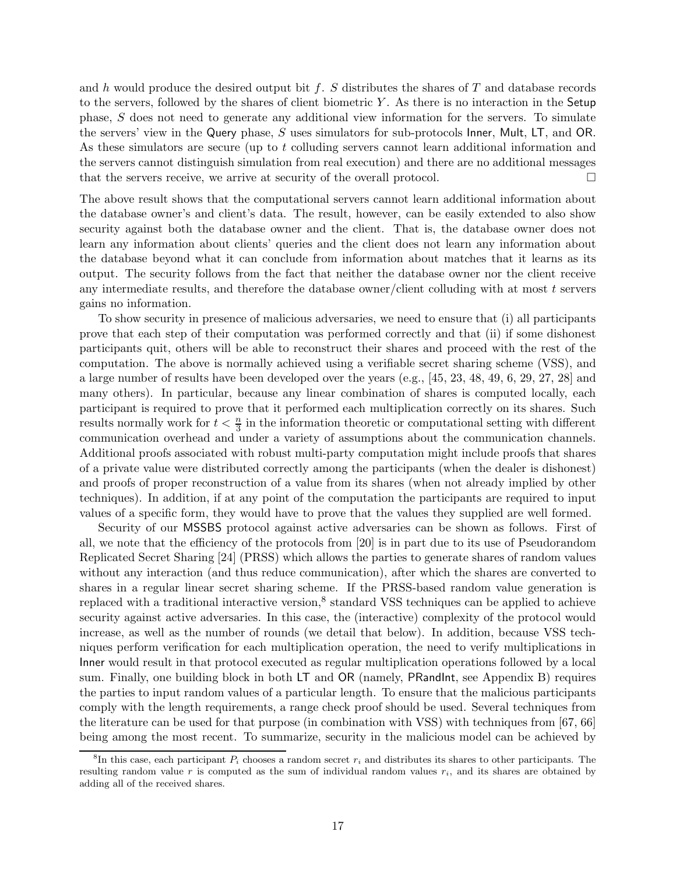and h would produce the desired output bit f. S distributes the shares of T and database records to the servers, followed by the shares of client biometric  $Y$ . As there is no interaction in the Setup phase, S does not need to generate any additional view information for the servers. To simulate the servers' view in the Query phase, S uses simulators for sub-protocols Inner, Mult, LT, and OR. As these simulators are secure (up to t colluding servers cannot learn additional information and the servers cannot distinguish simulation from real execution) and there are no additional messages that the servers receive, we arrive at security of the overall protocol.

The above result shows that the computational servers cannot learn additional information about the database owner's and client's data. The result, however, can be easily extended to also show security against both the database owner and the client. That is, the database owner does not learn any information about clients' queries and the client does not learn any information about the database beyond what it can conclude from information about matches that it learns as its output. The security follows from the fact that neither the database owner nor the client receive any intermediate results, and therefore the database owner/client colluding with at most  $t$  servers gains no information.

To show security in presence of malicious adversaries, we need to ensure that (i) all participants prove that each step of their computation was performed correctly and that (ii) if some dishonest participants quit, others will be able to reconstruct their shares and proceed with the rest of the computation. The above is normally achieved using a verifiable secret sharing scheme (VSS), and a large number of results have been developed over the years (e.g., [45, 23, 48, 49, 6, 29, 27, 28] and many others). In particular, because any linear combination of shares is computed locally, each participant is required to prove that it performed each multiplication correctly on its shares. Such results normally work for  $t < \frac{n}{3}$  in the information theoretic or computational setting with different communication overhead and under a variety of assumptions about the communication channels. Additional proofs associated with robust multi-party computation might include proofs that shares of a private value were distributed correctly among the participants (when the dealer is dishonest) and proofs of proper reconstruction of a value from its shares (when not already implied by other techniques). In addition, if at any point of the computation the participants are required to input values of a specific form, they would have to prove that the values they supplied are well formed.

Security of our MSSBS protocol against active adversaries can be shown as follows. First of all, we note that the efficiency of the protocols from [20] is in part due to its use of Pseudorandom Replicated Secret Sharing [24] (PRSS) which allows the parties to generate shares of random values without any interaction (and thus reduce communication), after which the shares are converted to shares in a regular linear secret sharing scheme. If the PRSS-based random value generation is replaced with a traditional interactive version,<sup>8</sup> standard VSS techniques can be applied to achieve security against active adversaries. In this case, the (interactive) complexity of the protocol would increase, as well as the number of rounds (we detail that below). In addition, because VSS techniques perform verification for each multiplication operation, the need to verify multiplications in Inner would result in that protocol executed as regular multiplication operations followed by a local sum. Finally, one building block in both LT and OR (namely, PRandInt, see Appendix B) requires the parties to input random values of a particular length. To ensure that the malicious participants comply with the length requirements, a range check proof should be used. Several techniques from the literature can be used for that purpose (in combination with VSS) with techniques from [67, 66] being among the most recent. To summarize, security in the malicious model can be achieved by

<sup>&</sup>lt;sup>8</sup>In this case, each participant  $P_i$  chooses a random secret  $r_i$  and distributes its shares to other participants. The resulting random value r is computed as the sum of individual random values  $r_i$ , and its shares are obtained by adding all of the received shares.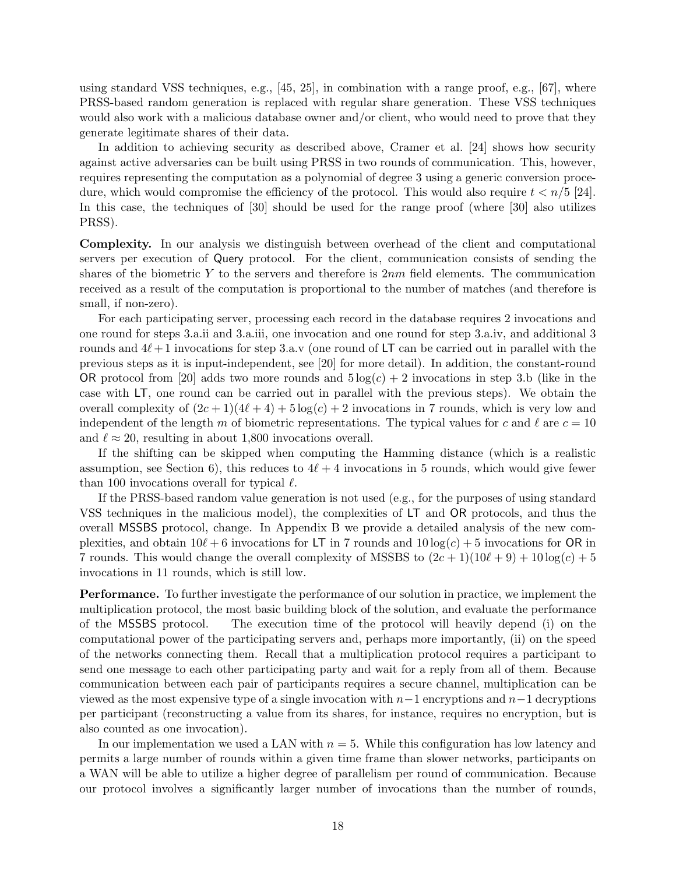using standard VSS techniques, e.g., [45, 25], in combination with a range proof, e.g., [67], where PRSS-based random generation is replaced with regular share generation. These VSS techniques would also work with a malicious database owner and/or client, who would need to prove that they generate legitimate shares of their data.

In addition to achieving security as described above, Cramer et al. [24] shows how security against active adversaries can be built using PRSS in two rounds of communication. This, however, requires representing the computation as a polynomial of degree 3 using a generic conversion procedure, which would compromise the efficiency of the protocol. This would also require  $t < n/5$  [24]. In this case, the techniques of [30] should be used for the range proof (where [30] also utilizes PRSS).

Complexity. In our analysis we distinguish between overhead of the client and computational servers per execution of Query protocol. For the client, communication consists of sending the shares of the biometric Y to the servers and therefore is  $2nm$  field elements. The communication received as a result of the computation is proportional to the number of matches (and therefore is small, if non-zero).

For each participating server, processing each record in the database requires 2 invocations and one round for steps 3.a.ii and 3.a.iii, one invocation and one round for step 3.a.iv, and additional 3 rounds and  $4\ell+1$  invocations for step 3.a.v (one round of LT can be carried out in parallel with the previous steps as it is input-independent, see [20] for more detail). In addition, the constant-round OR protocol from [20] adds two more rounds and  $5 \log(c) + 2$  invocations in step 3.b (like in the case with LT, one round can be carried out in parallel with the previous steps). We obtain the overall complexity of  $(2c+1)(4\ell+4)+5\log(c)+2$  invocations in 7 rounds, which is very low and independent of the length m of biometric representations. The typical values for c and  $\ell$  are  $c = 10$ and  $\ell \approx 20$ , resulting in about 1,800 invocations overall.

If the shifting can be skipped when computing the Hamming distance (which is a realistic assumption, see Section 6), this reduces to  $4\ell + 4$  invocations in 5 rounds, which would give fewer than 100 invocations overall for typical  $\ell$ .

If the PRSS-based random value generation is not used (e.g., for the purposes of using standard VSS techniques in the malicious model), the complexities of LT and OR protocols, and thus the overall MSSBS protocol, change. In Appendix B we provide a detailed analysis of the new complexities, and obtain  $10\ell + 6$  invocations for LT in 7 rounds and  $10 \log(c) + 5$  invocations for OR in 7 rounds. This would change the overall complexity of MSSBS to  $(2c+1)(10\ell+9)+10\log(c)+5$ invocations in 11 rounds, which is still low.

Performance. To further investigate the performance of our solution in practice, we implement the multiplication protocol, the most basic building block of the solution, and evaluate the performance of the MSSBS protocol. The execution time of the protocol will heavily depend (i) on the computational power of the participating servers and, perhaps more importantly, (ii) on the speed of the networks connecting them. Recall that a multiplication protocol requires a participant to send one message to each other participating party and wait for a reply from all of them. Because communication between each pair of participants requires a secure channel, multiplication can be viewed as the most expensive type of a single invocation with  $n-1$  encryptions and  $n-1$  decryptions per participant (reconstructing a value from its shares, for instance, requires no encryption, but is also counted as one invocation).

In our implementation we used a LAN with  $n = 5$ . While this configuration has low latency and permits a large number of rounds within a given time frame than slower networks, participants on a WAN will be able to utilize a higher degree of parallelism per round of communication. Because our protocol involves a significantly larger number of invocations than the number of rounds,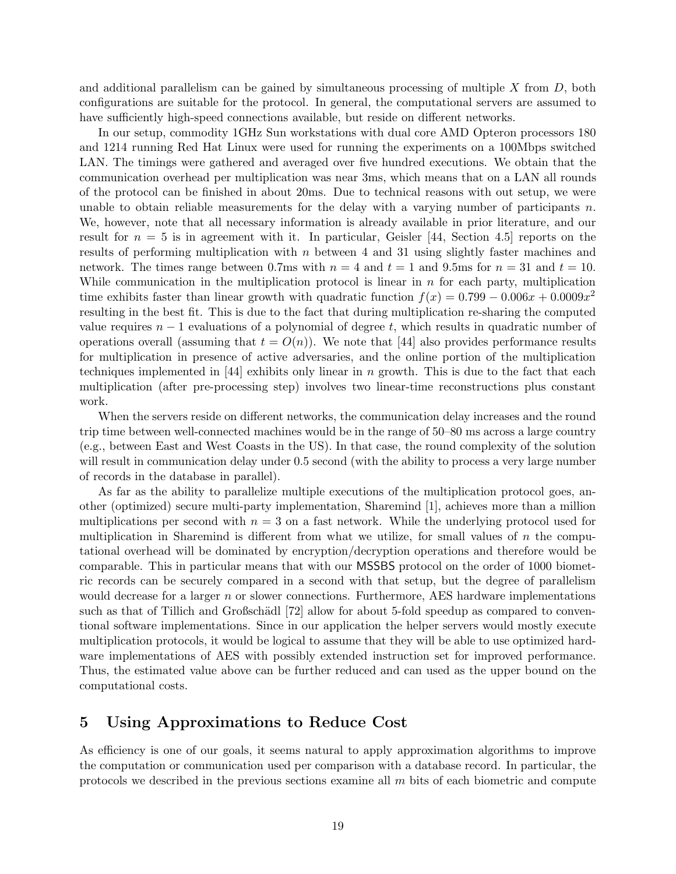and additional parallelism can be gained by simultaneous processing of multiple  $X$  from  $D$ , both configurations are suitable for the protocol. In general, the computational servers are assumed to have sufficiently high-speed connections available, but reside on different networks.

In our setup, commodity 1GHz Sun workstations with dual core AMD Opteron processors 180 and 1214 running Red Hat Linux were used for running the experiments on a 100Mbps switched LAN. The timings were gathered and averaged over five hundred executions. We obtain that the communication overhead per multiplication was near 3ms, which means that on a LAN all rounds of the protocol can be finished in about 20ms. Due to technical reasons with out setup, we were unable to obtain reliable measurements for the delay with a varying number of participants  $n$ . We, however, note that all necessary information is already available in prior literature, and our result for  $n = 5$  is in agreement with it. In particular, Geisler [44, Section 4.5] reports on the results of performing multiplication with  $n$  between 4 and 31 using slightly faster machines and network. The times range between 0.7ms with  $n = 4$  and  $t = 1$  and 9.5ms for  $n = 31$  and  $t = 10$ . While communication in the multiplication protocol is linear in  $n$  for each party, multiplication time exhibits faster than linear growth with quadratic function  $f(x) = 0.799 - 0.006x + 0.0009x^2$ resulting in the best fit. This is due to the fact that during multiplication re-sharing the computed value requires  $n - 1$  evaluations of a polynomial of degree t, which results in quadratic number of operations overall (assuming that  $t = O(n)$ ). We note that [44] also provides performance results for multiplication in presence of active adversaries, and the online portion of the multiplication techniques implemented in [44] exhibits only linear in n growth. This is due to the fact that each multiplication (after pre-processing step) involves two linear-time reconstructions plus constant work.

When the servers reside on different networks, the communication delay increases and the round trip time between well-connected machines would be in the range of 50–80 ms across a large country (e.g., between East and West Coasts in the US). In that case, the round complexity of the solution will result in communication delay under 0.5 second (with the ability to process a very large number of records in the database in parallel).

As far as the ability to parallelize multiple executions of the multiplication protocol goes, another (optimized) secure multi-party implementation, Sharemind [1], achieves more than a million multiplications per second with  $n = 3$  on a fast network. While the underlying protocol used for multiplication in Sharemind is different from what we utilize, for small values of  $n$  the computational overhead will be dominated by encryption/decryption operations and therefore would be comparable. This in particular means that with our MSSBS protocol on the order of 1000 biometric records can be securely compared in a second with that setup, but the degree of parallelism would decrease for a larger n or slower connections. Furthermore, AES hardware implementations such as that of Tillich and Großschädl [72] allow for about 5-fold speedup as compared to conventional software implementations. Since in our application the helper servers would mostly execute multiplication protocols, it would be logical to assume that they will be able to use optimized hardware implementations of AES with possibly extended instruction set for improved performance. Thus, the estimated value above can be further reduced and can used as the upper bound on the computational costs.

# 5 Using Approximations to Reduce Cost

As efficiency is one of our goals, it seems natural to apply approximation algorithms to improve the computation or communication used per comparison with a database record. In particular, the protocols we described in the previous sections examine all m bits of each biometric and compute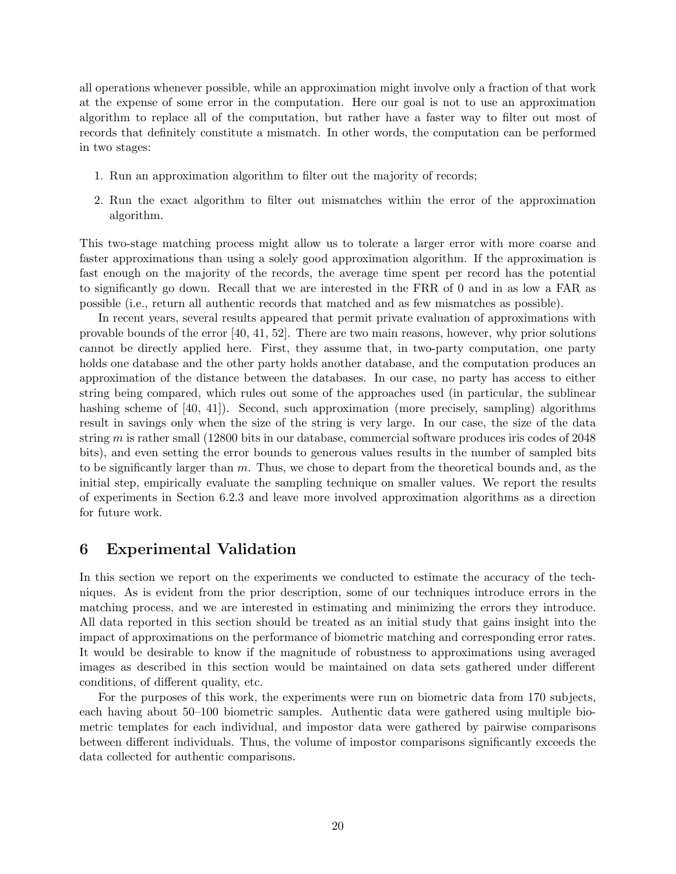all operations whenever possible, while an approximation might involve only a fraction of that work at the expense of some error in the computation. Here our goal is not to use an approximation algorithm to replace all of the computation, but rather have a faster way to filter out most of records that definitely constitute a mismatch. In other words, the computation can be performed in two stages:

- 1. Run an approximation algorithm to filter out the majority of records;
- 2. Run the exact algorithm to filter out mismatches within the error of the approximation algorithm.

This two-stage matching process might allow us to tolerate a larger error with more coarse and faster approximations than using a solely good approximation algorithm. If the approximation is fast enough on the majority of the records, the average time spent per record has the potential to significantly go down. Recall that we are interested in the FRR of 0 and in as low a FAR as possible (i.e., return all authentic records that matched and as few mismatches as possible).

In recent years, several results appeared that permit private evaluation of approximations with provable bounds of the error [40, 41, 52]. There are two main reasons, however, why prior solutions cannot be directly applied here. First, they assume that, in two-party computation, one party holds one database and the other party holds another database, and the computation produces an approximation of the distance between the databases. In our case, no party has access to either string being compared, which rules out some of the approaches used (in particular, the sublinear hashing scheme of [40, 41]). Second, such approximation (more precisely, sampling) algorithms result in savings only when the size of the string is very large. In our case, the size of the data string m is rather small (12800 bits in our database, commercial software produces iris codes of  $2048$ bits), and even setting the error bounds to generous values results in the number of sampled bits to be significantly larger than  $m$ . Thus, we chose to depart from the theoretical bounds and, as the initial step, empirically evaluate the sampling technique on smaller values. We report the results of experiments in Section 6.2.3 and leave more involved approximation algorithms as a direction for future work.

# 6 Experimental Validation

In this section we report on the experiments we conducted to estimate the accuracy of the techniques. As is evident from the prior description, some of our techniques introduce errors in the matching process, and we are interested in estimating and minimizing the errors they introduce. All data reported in this section should be treated as an initial study that gains insight into the impact of approximations on the performance of biometric matching and corresponding error rates. It would be desirable to know if the magnitude of robustness to approximations using averaged images as described in this section would be maintained on data sets gathered under different conditions, of different quality, etc.

For the purposes of this work, the experiments were run on biometric data from 170 subjects, each having about 50–100 biometric samples. Authentic data were gathered using multiple biometric templates for each individual, and impostor data were gathered by pairwise comparisons between different individuals. Thus, the volume of impostor comparisons significantly exceeds the data collected for authentic comparisons.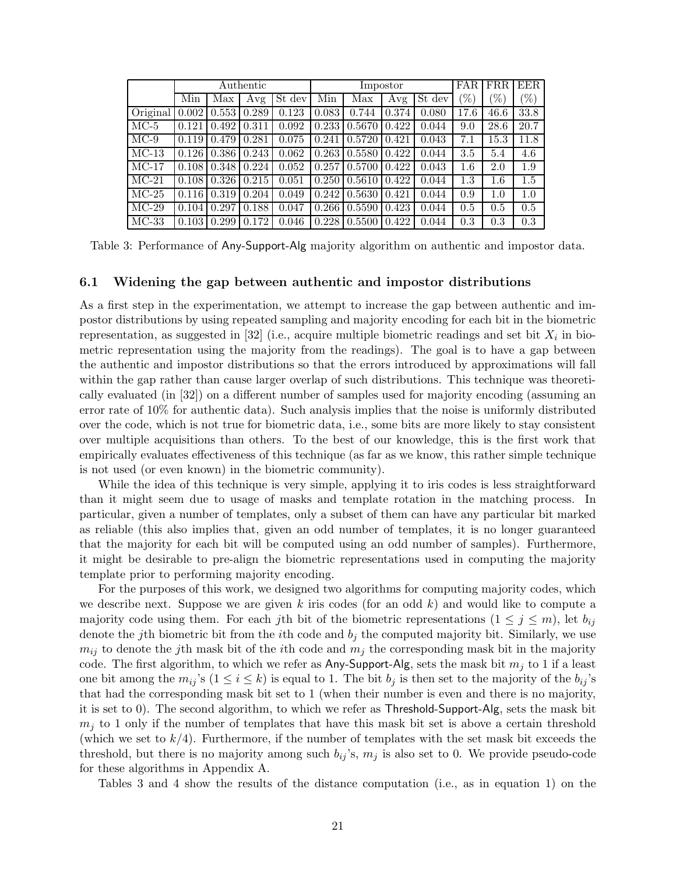|          |       |       | Authentic |        |       | Impostor | FAR.  | <b>FRR</b>                   | EER    |        |        |
|----------|-------|-------|-----------|--------|-------|----------|-------|------------------------------|--------|--------|--------|
|          | Min   | Max   | Avg       | St dev | Min   | Max      | Avg   | $\overline{\mathrm{St}}$ dev | $(\%)$ | $\% )$ | $(\%)$ |
| Original | 0.002 | 0.553 | 0.289     | 0.123  | 0.083 | 0.744    | 0.374 | 0.080                        | 17.6   | 46.6   | 33.8   |
| $MC-5$   | 0.121 | 0.492 | 0.311     | 0.092  | 0.233 | 0.5670   | 0.422 | 0.044                        | 9.0    | 28.6   | 20.7   |
| $MC-9$   | 0.119 | 0.479 | 0.281     | 0.075  | 0.241 | 0.5720   | 0.421 | 0.043                        | 7.1    | 15.3   | 11.8   |
| $MC-13$  | 0.126 | 0.386 | 0.243     | 0.062  | 0.263 | 0.5580   | 0.422 | 0.044                        | 3.5    | 5.4    | 4.6    |
| $MC-17$  | 0.108 | 0.348 | 0.224     | 0.052  | 0.257 | 0.5700   | 0.422 | 0.043                        | 1.6    | 2.0    | 1.9    |
| $MC-21$  | 0.108 | 0.326 | 0.215     | 0.051  | 0.250 | 0.5610   | 0.422 | 0.044                        | 1.3    | 1.6    | 1.5    |
| $MC-25$  | 0.116 | 0.319 | 0.204     | 0.049  | 0.242 | $0.5630$ | 0.421 | 0.044                        | 0.9    | 1.0    | 1.0    |
| $MC-29$  | 0.104 | 0.297 | 0.188     | 0.047  | 0.266 | 0.5590   | 0.423 | 0.044                        | 0.5    | 0.5    | 0.5    |
| $MC-33$  | 0.103 | 0.299 | 0.172     | 0.046  | 0.228 | 0.5500   | 0.422 | 0.044                        | 0.3    | 0.3    | 0.3    |

Table 3: Performance of Any-Support-Alg majority algorithm on authentic and impostor data.

#### 6.1 Widening the gap between authentic and impostor distributions

As a first step in the experimentation, we attempt to increase the gap between authentic and impostor distributions by using repeated sampling and majority encoding for each bit in the biometric representation, as suggested in  $[32]$  (i.e., acquire multiple biometric readings and set bit  $X_i$  in biometric representation using the majority from the readings). The goal is to have a gap between the authentic and impostor distributions so that the errors introduced by approximations will fall within the gap rather than cause larger overlap of such distributions. This technique was theoretically evaluated (in [32]) on a different number of samples used for majority encoding (assuming an error rate of 10% for authentic data). Such analysis implies that the noise is uniformly distributed over the code, which is not true for biometric data, i.e., some bits are more likely to stay consistent over multiple acquisitions than others. To the best of our knowledge, this is the first work that empirically evaluates effectiveness of this technique (as far as we know, this rather simple technique is not used (or even known) in the biometric community).

While the idea of this technique is very simple, applying it to iris codes is less straightforward than it might seem due to usage of masks and template rotation in the matching process. In particular, given a number of templates, only a subset of them can have any particular bit marked as reliable (this also implies that, given an odd number of templates, it is no longer guaranteed that the majority for each bit will be computed using an odd number of samples). Furthermore, it might be desirable to pre-align the biometric representations used in computing the majority template prior to performing majority encoding.

For the purposes of this work, we designed two algorithms for computing majority codes, which we describe next. Suppose we are given k iris codes (for an odd  $k$ ) and would like to compute a majority code using them. For each jth bit of the biometric representations  $(1 \leq j \leq m)$ , let  $b_{ij}$ denote the j<sup>th</sup> biometric bit from the *i*<sup>th</sup> code and  $b_j$  the computed majority bit. Similarly, we use  $m_{ij}$  to denote the jth mask bit of the *i*th code and  $m_j$  the corresponding mask bit in the majority code. The first algorithm, to which we refer as Any-Support-Alg, sets the mask bit  $m_j$  to 1 if a least one bit among the  $m_{ij}$ 's  $(1 \le i \le k)$  is equal to 1. The bit  $b_j$  is then set to the majority of the  $b_{ij}$ 's that had the corresponding mask bit set to 1 (when their number is even and there is no majority, it is set to 0). The second algorithm, to which we refer as Threshold-Support-Alg, sets the mask bit  $m<sub>i</sub>$  to 1 only if the number of templates that have this mask bit set is above a certain threshold (which we set to  $k/4$ ). Furthermore, if the number of templates with the set mask bit exceeds the threshold, but there is no majority among such  $b_{ij}$ 's,  $m_j$  is also set to 0. We provide pseudo-code for these algorithms in Appendix A.

Tables 3 and 4 show the results of the distance computation (i.e., as in equation 1) on the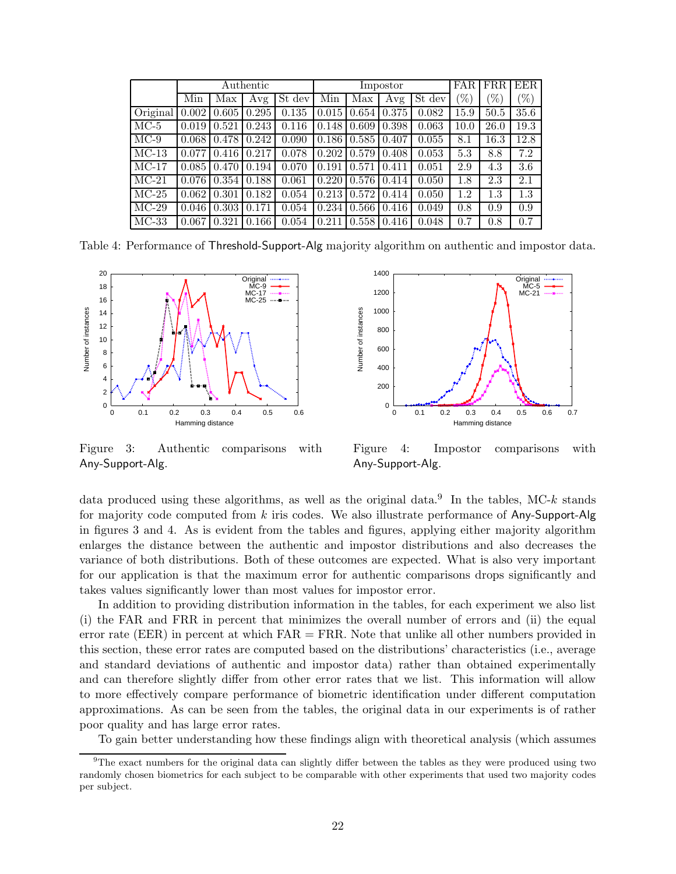|          |       |       | Authentic |        |       |       | Impostor |        | <b>FAR</b>      | <b>FRR</b>        | <b>EER</b> |
|----------|-------|-------|-----------|--------|-------|-------|----------|--------|-----------------|-------------------|------------|
|          | Min   | Max   | Avg       | St dev | Min   | Max   | Avg      | St dev | $\mathscr{C}_0$ | $\mathcal{C}_{0}$ | $\%$       |
| Original | 0.002 | 0.605 | 0.295     | 0.135  | 0.015 | 0.654 | 0.375    | 0.082  | 15.9            | 50.5              | 35.6       |
| $MC-5$   | 0.019 | 0.521 | 0.243     | 0.116  | 0.148 | 0.609 | 0.398    | 0.063  | 10.0            | 26.0              | 19.3       |
| $MC-9$   | 0.068 | 0.478 | 0.242     | 0.090  | 0.186 | 0.585 | 0.407    | 0.055  | 8.1             | 16.3              | 12.8       |
| $MC-13$  | 0.077 | 0.416 | 0.217     | 0.078  | 0.202 | 0.579 | 0.408    | 0.053  | 5.3             | 8.8               | 7.2        |
| $MC-17$  | 0.085 | 0.470 | 0.194     | 0.070  | 0.191 | 0.571 | 0.411    | 0.051  | 2.9             | 4.3               | 3.6        |
| $MC-21$  | 0.076 | 0.354 | 0.188     | 0.061  | 0.220 | 0.576 | 0.414    | 0.050  | 1.8             | 2.3               | 2.1        |
| $MC-25$  | 0.062 | 0.301 | 0.182     | 0.054  | 0.213 | 0.572 | 0.414    | 0.050  | 1.2             | $1.3\,$           | 1.3        |
| $MC-29$  | 0.046 | 0.303 | 0.171     | 0.054  | 0.234 | 0.566 | 0.416    | 0.049  | 0.8             | 0.9               | 0.9        |
| $MC-33$  | 0.067 | 0.321 | 0.166     | 0.054  | 0.211 | 0.558 | 0.416    | 0.048  | 0.7             | 0.8               | 0.7        |

Table 4: Performance of Threshold-Support-Alg majority algorithm on authentic and impostor data.



Figure 3: Authentic comparisons with Any-Support-Alg.



Figure 4: Impostor comparisons with Any-Support-Alg.

data produced using these algorithms, as well as the original data.<sup>9</sup> In the tables, MC-k stands for majority code computed from  $k$  iris codes. We also illustrate performance of Any-Support-Alg in figures 3 and 4. As is evident from the tables and figures, applying either majority algorithm enlarges the distance between the authentic and impostor distributions and also decreases the variance of both distributions. Both of these outcomes are expected. What is also very important for our application is that the maximum error for authentic comparisons drops significantly and takes values significantly lower than most values for impostor error.

In addition to providing distribution information in the tables, for each experiment we also list (i) the FAR and FRR in percent that minimizes the overall number of errors and (ii) the equal error rate (EER) in percent at which  $FAR = FRR$ . Note that unlike all other numbers provided in this section, these error rates are computed based on the distributions' characteristics (i.e., average and standard deviations of authentic and impostor data) rather than obtained experimentally and can therefore slightly differ from other error rates that we list. This information will allow to more effectively compare performance of biometric identification under different computation approximations. As can be seen from the tables, the original data in our experiments is of rather poor quality and has large error rates.

To gain better understanding how these findings align with theoretical analysis (which assumes

<sup>9</sup>The exact numbers for the original data can slightly differ between the tables as they were produced using two randomly chosen biometrics for each subject to be comparable with other experiments that used two majority codes per subject.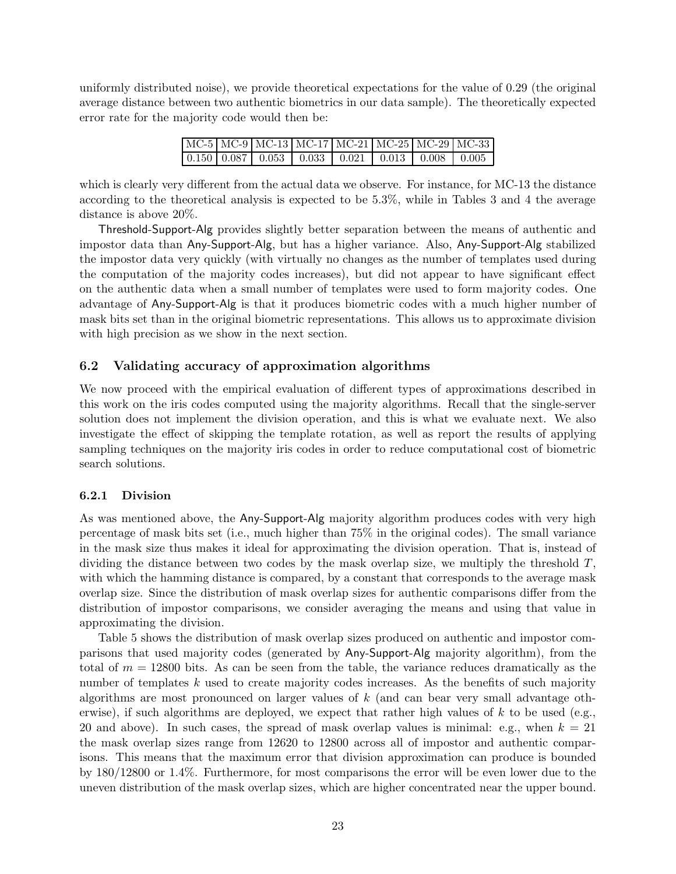uniformly distributed noise), we provide theoretical expectations for the value of 0.29 (the original average distance between two authentic biometrics in our data sample). The theoretically expected error rate for the majority code would then be:

|  | MC-5 MC-9 MC-13 MC-17 MC-21 MC-25 MC-29 MC-33 |  |  |  |
|--|-----------------------------------------------|--|--|--|
|  |                                               |  |  |  |

which is clearly very different from the actual data we observe. For instance, for MC-13 the distance according to the theoretical analysis is expected to be 5.3%, while in Tables 3 and 4 the average distance is above 20%.

Threshold-Support-Alg provides slightly better separation between the means of authentic and impostor data than Any-Support-Alg, but has a higher variance. Also, Any-Support-Alg stabilized the impostor data very quickly (with virtually no changes as the number of templates used during the computation of the majority codes increases), but did not appear to have significant effect on the authentic data when a small number of templates were used to form majority codes. One advantage of Any-Support-Alg is that it produces biometric codes with a much higher number of mask bits set than in the original biometric representations. This allows us to approximate division with high precision as we show in the next section.

### 6.2 Validating accuracy of approximation algorithms

We now proceed with the empirical evaluation of different types of approximations described in this work on the iris codes computed using the majority algorithms. Recall that the single-server solution does not implement the division operation, and this is what we evaluate next. We also investigate the effect of skipping the template rotation, as well as report the results of applying sampling techniques on the majority iris codes in order to reduce computational cost of biometric search solutions.

#### 6.2.1 Division

As was mentioned above, the Any-Support-Alg majority algorithm produces codes with very high percentage of mask bits set (i.e., much higher than 75% in the original codes). The small variance in the mask size thus makes it ideal for approximating the division operation. That is, instead of dividing the distance between two codes by the mask overlap size, we multiply the threshold  $T$ , with which the hamming distance is compared, by a constant that corresponds to the average mask overlap size. Since the distribution of mask overlap sizes for authentic comparisons differ from the distribution of impostor comparisons, we consider averaging the means and using that value in approximating the division.

Table 5 shows the distribution of mask overlap sizes produced on authentic and impostor comparisons that used majority codes (generated by Any-Support-Alg majority algorithm), from the total of  $m = 12800$  bits. As can be seen from the table, the variance reduces dramatically as the number of templates  $k$  used to create majority codes increases. As the benefits of such majority algorithms are most pronounced on larger values of k (and can bear very small advantage otherwise), if such algorithms are deployed, we expect that rather high values of  $k$  to be used (e.g., 20 and above). In such cases, the spread of mask overlap values is minimal: e.g., when  $k = 21$ the mask overlap sizes range from 12620 to 12800 across all of impostor and authentic comparisons. This means that the maximum error that division approximation can produce is bounded by 180/12800 or 1.4%. Furthermore, for most comparisons the error will be even lower due to the uneven distribution of the mask overlap sizes, which are higher concentrated near the upper bound.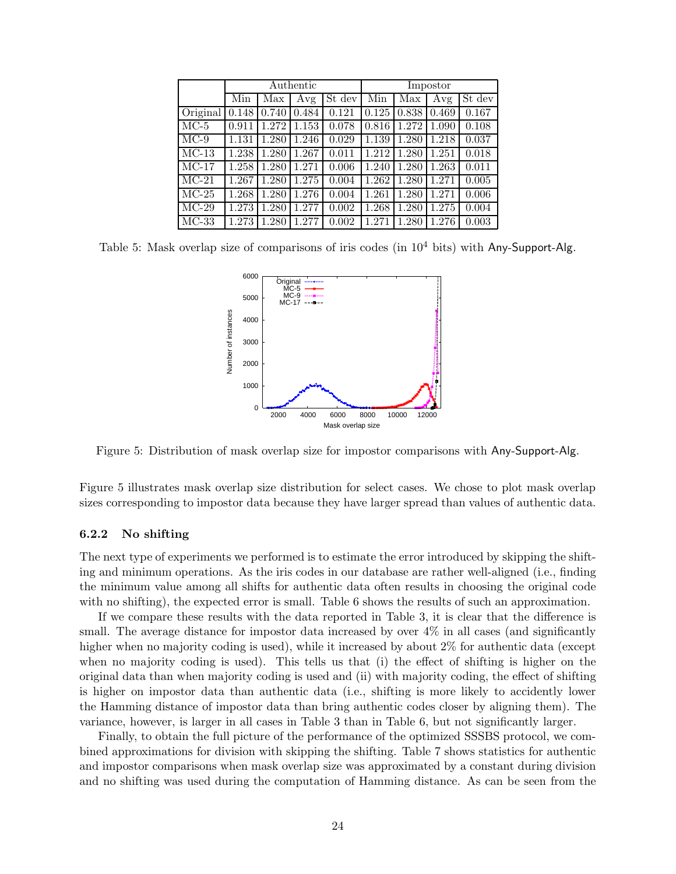|          |       |       | Authentic |        | Impostor |       |       |        |  |
|----------|-------|-------|-----------|--------|----------|-------|-------|--------|--|
|          | Min   | Max   | Avg       | St dev | Min      | Max   | Avg   | St dev |  |
| Original | 0.148 | 0.740 | 0.484     | 0.121  | 0.125    | 0.838 | 0.469 | 0.167  |  |
| $MC-5$   | 0.911 | 1.272 | 1.153     | 0.078  | 0.816    | 1.272 | 1.090 | 0.108  |  |
| $MC-9$   | 1.131 | 1.280 | 1.246     | 0.029  | 1.139    | 1.280 | 1.218 | 0.037  |  |
| $MC-13$  | 1.238 | 1.280 | 1.267     | 0.011  | 1.212    | 1.280 | 1.251 | 0.018  |  |
| $MC-17$  | 1.258 | 1.280 | 1.271     | 0.006  | 1.240    | 1.280 | 1.263 | 0.011  |  |
| $MC-21$  | 1.267 | 1.280 | 1.275     | 0.004  | 1.262    | 1.280 | 1.271 | 0.005  |  |
| $MC-25$  | 1.268 | 1.280 | 1.276     | 0.004  | 1.261    | 1.280 | 1.271 | 0.006  |  |
| $MC-29$  | 1.273 | 1.280 | 1.277     | 0.002  | 1.268    | 1.280 | 1.275 | 0.004  |  |
| $MC-33$  | 1.273 | 1.280 | 1.277     | 0.002  | 1.271    | 1.280 | 1.276 | 0.003  |  |

Table 5: Mask overlap size of comparisons of iris codes (in  $10^4$  bits) with Any-Support-Alg.



Figure 5: Distribution of mask overlap size for impostor comparisons with Any-Support-Alg.

Figure 5 illustrates mask overlap size distribution for select cases. We chose to plot mask overlap sizes corresponding to impostor data because they have larger spread than values of authentic data.

#### 6.2.2 No shifting

The next type of experiments we performed is to estimate the error introduced by skipping the shifting and minimum operations. As the iris codes in our database are rather well-aligned (i.e., finding the minimum value among all shifts for authentic data often results in choosing the original code with no shifting), the expected error is small. Table 6 shows the results of such an approximation.

If we compare these results with the data reported in Table 3, it is clear that the difference is small. The average distance for impostor data increased by over  $4\%$  in all cases (and significantly higher when no majority coding is used), while it increased by about 2% for authentic data (except when no majority coding is used). This tells us that (i) the effect of shifting is higher on the original data than when majority coding is used and (ii) with majority coding, the effect of shifting is higher on impostor data than authentic data (i.e., shifting is more likely to accidently lower the Hamming distance of impostor data than bring authentic codes closer by aligning them). The variance, however, is larger in all cases in Table 3 than in Table 6, but not significantly larger.

Finally, to obtain the full picture of the performance of the optimized SSSBS protocol, we combined approximations for division with skipping the shifting. Table 7 shows statistics for authentic and impostor comparisons when mask overlap size was approximated by a constant during division and no shifting was used during the computation of Hamming distance. As can be seen from the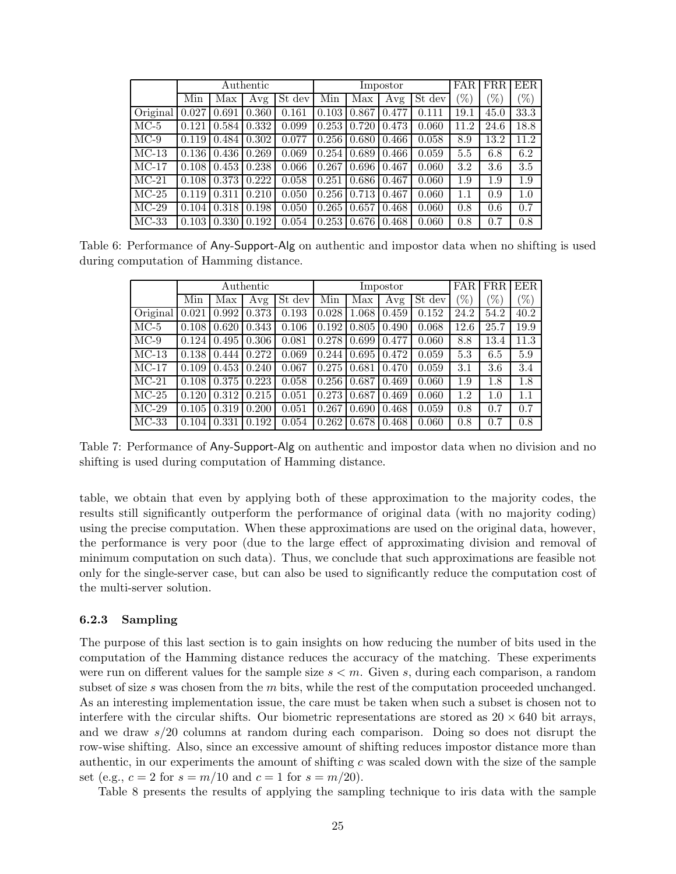|          |       |       | Authentic |        |       |       | Impostor |        | FAR.              | <b>FRR</b> | EER  |
|----------|-------|-------|-----------|--------|-------|-------|----------|--------|-------------------|------------|------|
|          | Min   | Max   | Avg       | St dev | Min   | Max   | Avg      | St dev | $\mathcal{C}_{0}$ | $(\%)$     | $\%$ |
| Original | 0.027 | 0.691 | 0.360     | 0.161  | 0.103 | 0.867 | 0.477    | 0.111  | 19.1              | 45.0       | 33.3 |
| $MC-5$   | 0.121 | 0.584 | 0.332     | 0.099  | 0.253 | 0.720 | 0.473    | 0.060  | 11.2              | 24.6       | 18.8 |
| $MC-9$   | 0.119 | 0.484 | 0.302     | 0.077  | 0.256 | 0.680 | 0.466    | 0.058  | 8.9               | 13.2       | 11.2 |
| $MC-13$  | 0.136 | 0.436 | 0.269     | 0.069  | 0.254 | 0.689 | 0.466    | 0.059  | 5.5               | 6.8        | 6.2  |
| $MC-17$  | 0.108 | 0.453 | 0.238     | 0.066  | 0.267 | 0.696 | 0.467    | 0.060  | 3.2               | 3.6        | 3.5  |
| $MC-21$  | 0.108 | 0.373 | 0.222     | 0.058  | 0.251 | 0.686 | 0.467    | 0.060  | 1.9               | 1.9        | 1.9  |
| $MC-25$  | 0.119 | 0.311 | 0.210     | 0.050  | 0.256 | 0.713 | 0.467    | 0.060  | $1.1\,$           | 0.9        | 1.0  |
| $MC-29$  | 0.104 | 0.318 | 0.198     | 0.050  | 0.265 | 0.657 | 0.468    | 0.060  | 0.8               | 0.6        | 0.7  |
| $MC-33$  | 0.103 | 0.330 | 0.192     | 0.054  | 0.253 | 0.676 | 0.468    | 0.060  | 0.8               | 0.7        | 0.8  |

Table 6: Performance of Any-Support-Alg on authentic and impostor data when no shifting is used during computation of Hamming distance.

|                     | $\rm{Authoric}$ |       |       |        |       |       | Impostor |        | FAR.   | FRR     | <b>EER</b>        |
|---------------------|-----------------|-------|-------|--------|-------|-------|----------|--------|--------|---------|-------------------|
|                     | Min             | Max   | Avg   | St dev | Min   | Max   | Avg      | St dev | $(\%)$ | $(\%)$  | $\mathcal{C}_{0}$ |
| Original            | 0.021           | 0.992 | 0.373 | 0.193  | 0.028 | 1.068 | 0.459    | 0.152  | 24.2   | 54.2    | 40.2              |
| $MC-5$              | 0.108           | 0.620 | 0.343 | 0.106  | 0.192 | 0.805 | 0.490    | 0.068  | 12.6   | 25.7    | 19.9              |
| $MC-9$              | 0.124           | 0.495 | 0.306 | 0.081  | 0.278 | 0.699 | 0.477    | 0.060  | 8.8    | 13.4    | 11.3              |
| $MC-13$             | 0.138           | 0.444 | 0.272 | 0.069  | 0.244 | 0.695 | 0.472    | 0.059  | 5.3    | 6.5     | 5.9               |
| $\overline{MC}$ -17 | 0.109           | 0.453 | 0.240 | 0.067  | 0.275 | 0.681 | 0.470    | 0.059  | 3.1    | 3.6     | 3.4               |
| $MC-21$             | 0.108           | 0.375 | 0.223 | 0.058  | 0.256 | 0.687 | 0.469    | 0.060  | 1.9    | $1.8\,$ | 1.8               |
| $MC-25$             | 0.120           | 0.312 | 0.215 | 0.051  | 0.273 | 0.687 | 0.469    | 0.060  | 1.2    | 1.0     | 1.1               |
| $MC-29$             | 0.105           | 0.319 | 0.200 | 0.051  | 0.267 | 0.690 | 0.468    | 0.059  | 0.8    | 0.7     | 0.7               |
| $MC-33$             | 0.104           | 0.331 | 0.192 | 0.054  | 0.262 | 0.678 | 0.468    | 0.060  | 0.8    | 0.7     | 0.8               |

Table 7: Performance of Any-Support-Alg on authentic and impostor data when no division and no shifting is used during computation of Hamming distance.

table, we obtain that even by applying both of these approximation to the majority codes, the results still significantly outperform the performance of original data (with no majority coding) using the precise computation. When these approximations are used on the original data, however, the performance is very poor (due to the large effect of approximating division and removal of minimum computation on such data). Thus, we conclude that such approximations are feasible not only for the single-server case, but can also be used to significantly reduce the computation cost of the multi-server solution.

#### 6.2.3 Sampling

The purpose of this last section is to gain insights on how reducing the number of bits used in the computation of the Hamming distance reduces the accuracy of the matching. These experiments were run on different values for the sample size  $s < m$ . Given s, during each comparison, a random subset of size s was chosen from the  $m$  bits, while the rest of the computation proceeded unchanged. As an interesting implementation issue, the care must be taken when such a subset is chosen not to interfere with the circular shifts. Our biometric representations are stored as  $20 \times 640$  bit arrays, and we draw  $s/20$  columns at random during each comparison. Doing so does not disrupt the row-wise shifting. Also, since an excessive amount of shifting reduces impostor distance more than authentic, in our experiments the amount of shifting  $c$  was scaled down with the size of the sample set (e.g.,  $c = 2$  for  $s = m/10$  and  $c = 1$  for  $s = m/20$ ).

Table 8 presents the results of applying the sampling technique to iris data with the sample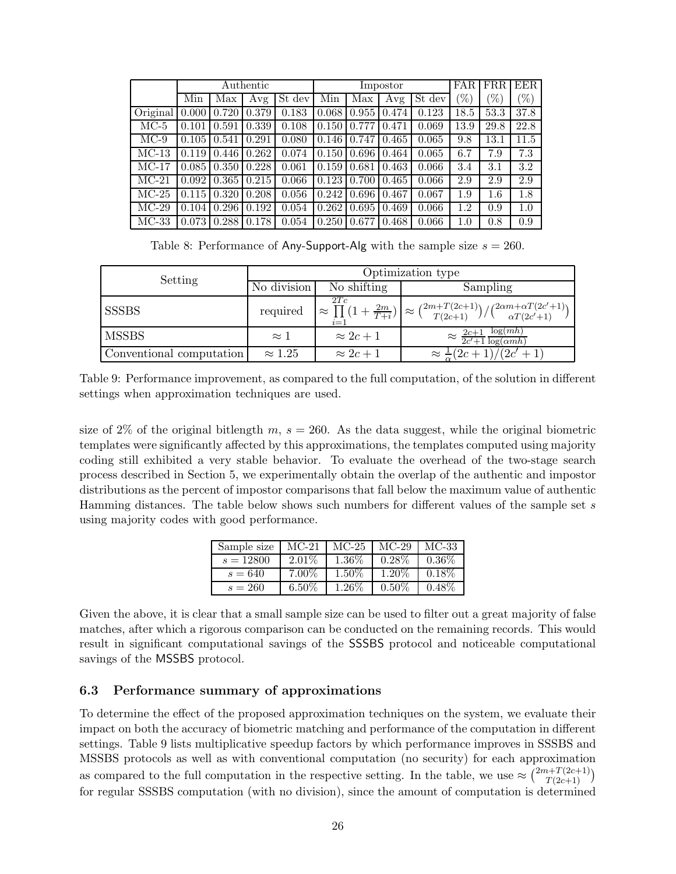|          | Authentic |       |       |        | Impostor |       |       |        | <b>FAR</b>        | FRR     | <b>EER</b> |
|----------|-----------|-------|-------|--------|----------|-------|-------|--------|-------------------|---------|------------|
|          | Min       | Max   | Avg   | St dev | Min      | Max   | Avg   | St dev | $\mathcal{C}_{0}$ | $(\%)$  | $\%$       |
| Original | 0.000     | 0.720 | 0.379 | 0.183  | 0.068    | 0.955 | 0.474 | 0.123  | 18.5              | 53.3    | 37.8       |
| $MC-5$   | 0.101     | 0.591 | 0.339 | 0.108  | 0.150    | 0.777 | 0.471 | 0.069  | 13.9              | 29.8    | 22.8       |
| $MC-9$   | 0.105     | 0.541 | 0.291 | 0.080  | 0.146    | 0.747 | 0.465 | 0.065  | 9.8               | 13.1    | 11.5       |
| $MC-13$  | 0.119     | 0.446 | 0.262 | 0.074  | 0.150    | 0.696 | 0.464 | 0.065  | 6.7               | 7.9     | 7.3        |
| $MC-17$  | 0.085     | 0.350 | 0.228 | 0.061  | 0.159    | 0.681 | 0.463 | 0.066  | 3.4               | 3.1     | 3.2        |
| $MC-21$  | 0.092     | 0.365 | 0.215 | 0.066  | 0.123    | 0.700 | 0.465 | 0.066  | 2.9               | 2.9     | 2.9        |
| $MC-25$  | 0.115     | 0.320 | 0.208 | 0.056  | 0.242    | 0.696 | 0.467 | 0.067  | 1.9               | $1.6\,$ | 1.8        |
| $MC-29$  | 0.104     | 0.296 | 0.192 | 0.054  | 0.262    | 0.695 | 0.469 | 0.066  | 1.2               | 0.9     | 1.0        |
| $MC-33$  | 0.073     | 0.288 | 0.178 | 0.054  | 0.250    | 0.677 | 0.468 | 0.066  | 1.0               | 0.8     | 0.9        |

Table 8: Performance of Any-Support-Alg with the sample size  $s = 260$ .

| Setting                  |                | Optimization type |                                                                                                                                               |  |  |  |  |  |
|--------------------------|----------------|-------------------|-----------------------------------------------------------------------------------------------------------------------------------------------|--|--|--|--|--|
|                          | No division    | No shifting       | Sampling                                                                                                                                      |  |  |  |  |  |
| <b>SSSBS</b>             | required       | 2Tc<br>$i=1$      | $\approx \prod_{r=1}^{210} (1 + \frac{2m}{T+i}) \approx {\binom{2m+T(2c+1)}{T(2c+1)}} / {\binom{2\alpha m+\alpha T(2c'+1)}{\alpha T(2c'+1)}}$ |  |  |  |  |  |
| <b>MSSBS</b>             | $\approx$ 1    | $\approx 2c+1$    | $\approx \frac{2c+1}{2c'+1} \frac{\log(mh)}{\log(\alpha m h)}$                                                                                |  |  |  |  |  |
| Conventional computation | $\approx 1.25$ | $\approx 2c+1$    | $\approx \frac{1}{2}(2c+1)/(2c'+1)$                                                                                                           |  |  |  |  |  |

Table 9: Performance improvement, as compared to the full computation, of the solution in different settings when approximation techniques are used.

size of 2% of the original bitlength  $m, s = 260$ . As the data suggest, while the original biometric templates were significantly affected by this approximations, the templates computed using majority coding still exhibited a very stable behavior. To evaluate the overhead of the two-stage search process described in Section 5, we experimentally obtain the overlap of the authentic and impostor distributions as the percent of impostor comparisons that fall below the maximum value of authentic Hamming distances. The table below shows such numbers for different values of the sample set s using majority codes with good performance.

| Sample size | $MC-21$  | $MC-25$  | $MC-29$  | MC-33    |
|-------------|----------|----------|----------|----------|
| $s = 12800$ | $2.01\%$ | $1.36\%$ | $0.28\%$ | $0.36\%$ |
| $s = 640$   | $7.00\%$ | $1.50\%$ | $1.20\%$ | $0.18\%$ |
| $s = 260$   | $6.50\%$ | $1.26\%$ | $0.50\%$ | $0.48\%$ |

Given the above, it is clear that a small sample size can be used to filter out a great majority of false matches, after which a rigorous comparison can be conducted on the remaining records. This would result in significant computational savings of the SSSBS protocol and noticeable computational savings of the MSSBS protocol.

### 6.3 Performance summary of approximations

To determine the effect of the proposed approximation techniques on the system, we evaluate their impact on both the accuracy of biometric matching and performance of the computation in different settings. Table 9 lists multiplicative speedup factors by which performance improves in SSSBS and MSSBS protocols as well as with conventional computation (no security) for each approximation as compared to the full computation in the respective setting. In the table, we use  $\approx \binom{2m+T(2c+1)}{T(2c+1)}$ for regular SSSBS computation (with no division), since the amount of computation is determined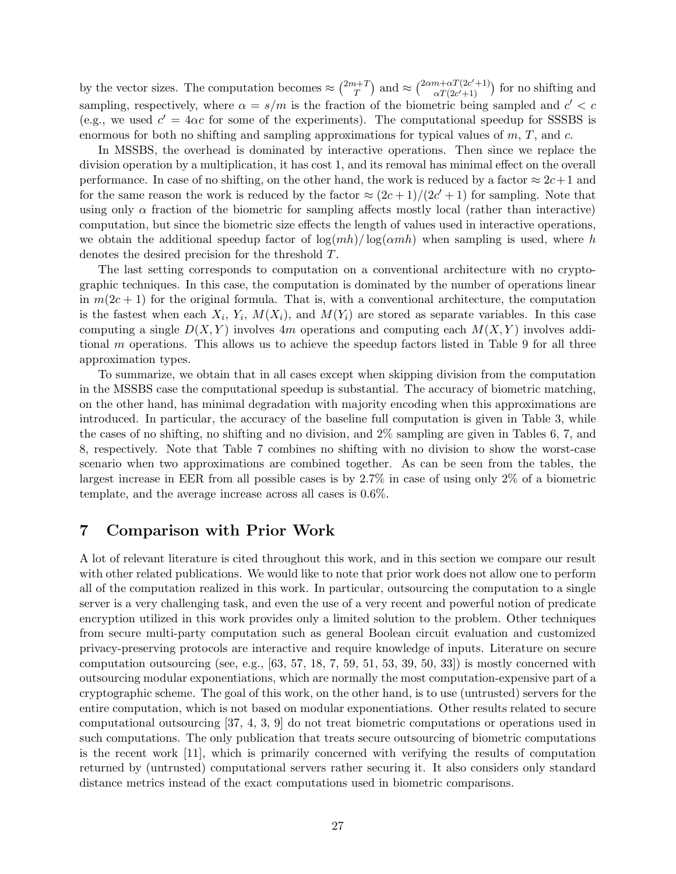by the vector sizes. The computation becomes  $\approx \binom{2m+1}{T}$  $\binom{n+T}{T}$  and  $\approx \binom{2\alpha m + \alpha T(2c'+1)}{\alpha T(2c'+1)}$  $\frac{n+\alpha}{\alpha T(2c'+1)}$  for no shifting and sampling, respectively, where  $\alpha = s/m$  is the fraction of the biometric being sampled and  $c' < c$ (e.g., we used  $c' = 4\alpha c$  for some of the experiments). The computational speedup for SSSBS is enormous for both no shifting and sampling approximations for typical values of  $m$ ,  $T$ , and  $c$ .

In MSSBS, the overhead is dominated by interactive operations. Then since we replace the division operation by a multiplication, it has cost 1, and its removal has minimal effect on the overall performance. In case of no shifting, on the other hand, the work is reduced by a factor  $\approx 2c+1$  and for the same reason the work is reduced by the factor  $\approx (2c+1)/(2c'+1)$  for sampling. Note that using only  $\alpha$  fraction of the biometric for sampling affects mostly local (rather than interactive) computation, but since the biometric size effects the length of values used in interactive operations, we obtain the additional speedup factor of  $\log(mh)/\log(\alpha m h)$  when sampling is used, where h denotes the desired precision for the threshold T.

The last setting corresponds to computation on a conventional architecture with no cryptographic techniques. In this case, the computation is dominated by the number of operations linear in  $m(2c+1)$  for the original formula. That is, with a conventional architecture, the computation is the fastest when each  $X_i$ ,  $Y_i$ ,  $M(X_i)$ , and  $M(Y_i)$  are stored as separate variables. In this case computing a single  $D(X, Y)$  involves 4m operations and computing each  $M(X, Y)$  involves additional m operations. This allows us to achieve the speedup factors listed in Table 9 for all three approximation types.

To summarize, we obtain that in all cases except when skipping division from the computation in the MSSBS case the computational speedup is substantial. The accuracy of biometric matching, on the other hand, has minimal degradation with majority encoding when this approximations are introduced. In particular, the accuracy of the baseline full computation is given in Table 3, while the cases of no shifting, no shifting and no division, and 2% sampling are given in Tables 6, 7, and 8, respectively. Note that Table 7 combines no shifting with no division to show the worst-case scenario when two approximations are combined together. As can be seen from the tables, the largest increase in EER from all possible cases is by 2.7% in case of using only 2% of a biometric template, and the average increase across all cases is 0.6%.

# 7 Comparison with Prior Work

A lot of relevant literature is cited throughout this work, and in this section we compare our result with other related publications. We would like to note that prior work does not allow one to perform all of the computation realized in this work. In particular, outsourcing the computation to a single server is a very challenging task, and even the use of a very recent and powerful notion of predicate encryption utilized in this work provides only a limited solution to the problem. Other techniques from secure multi-party computation such as general Boolean circuit evaluation and customized privacy-preserving protocols are interactive and require knowledge of inputs. Literature on secure computation outsourcing (see, e.g.,  $[63, 57, 18, 7, 59, 51, 53, 39, 50, 33]$ ) is mostly concerned with outsourcing modular exponentiations, which are normally the most computation-expensive part of a cryptographic scheme. The goal of this work, on the other hand, is to use (untrusted) servers for the entire computation, which is not based on modular exponentiations. Other results related to secure computational outsourcing [37, 4, 3, 9] do not treat biometric computations or operations used in such computations. The only publication that treats secure outsourcing of biometric computations is the recent work [11], which is primarily concerned with verifying the results of computation returned by (untrusted) computational servers rather securing it. It also considers only standard distance metrics instead of the exact computations used in biometric comparisons.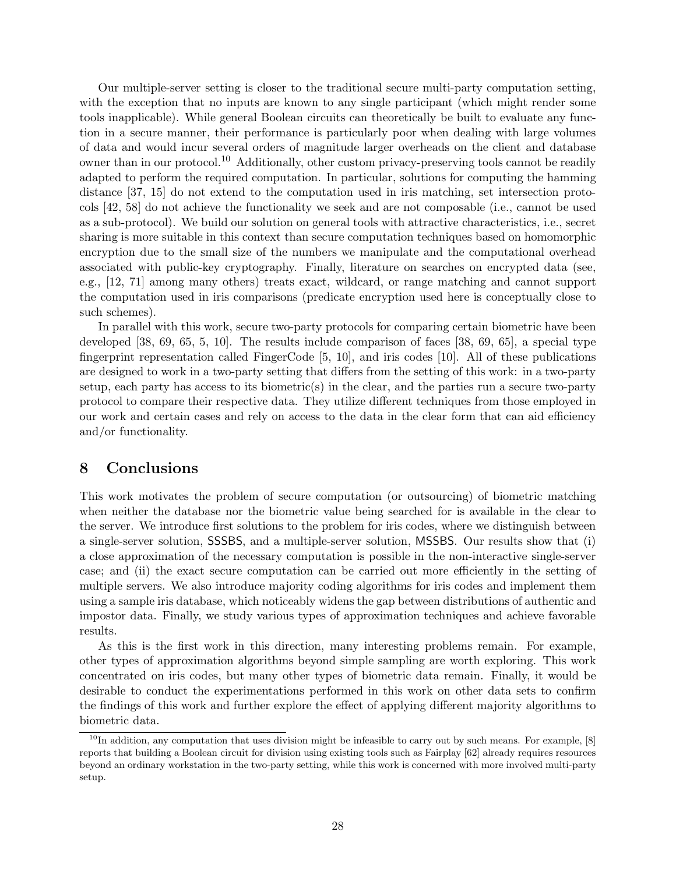Our multiple-server setting is closer to the traditional secure multi-party computation setting, with the exception that no inputs are known to any single participant (which might render some tools inapplicable). While general Boolean circuits can theoretically be built to evaluate any function in a secure manner, their performance is particularly poor when dealing with large volumes of data and would incur several orders of magnitude larger overheads on the client and database owner than in our protocol.<sup>10</sup> Additionally, other custom privacy-preserving tools cannot be readily adapted to perform the required computation. In particular, solutions for computing the hamming distance [37, 15] do not extend to the computation used in iris matching, set intersection protocols [42, 58] do not achieve the functionality we seek and are not composable (i.e., cannot be used as a sub-protocol). We build our solution on general tools with attractive characteristics, i.e., secret sharing is more suitable in this context than secure computation techniques based on homomorphic encryption due to the small size of the numbers we manipulate and the computational overhead associated with public-key cryptography. Finally, literature on searches on encrypted data (see, e.g., [12, 71] among many others) treats exact, wildcard, or range matching and cannot support the computation used in iris comparisons (predicate encryption used here is conceptually close to such schemes).

In parallel with this work, secure two-party protocols for comparing certain biometric have been developed [38, 69, 65, 5, 10]. The results include comparison of faces [38, 69, 65], a special type fingerprint representation called FingerCode [5, 10], and iris codes [10]. All of these publications are designed to work in a two-party setting that differs from the setting of this work: in a two-party setup, each party has access to its biometric(s) in the clear, and the parties run a secure two-party protocol to compare their respective data. They utilize different techniques from those employed in our work and certain cases and rely on access to the data in the clear form that can aid efficiency and/or functionality.

# 8 Conclusions

This work motivates the problem of secure computation (or outsourcing) of biometric matching when neither the database nor the biometric value being searched for is available in the clear to the server. We introduce first solutions to the problem for iris codes, where we distinguish between a single-server solution, SSSBS, and a multiple-server solution, MSSBS. Our results show that (i) a close approximation of the necessary computation is possible in the non-interactive single-server case; and (ii) the exact secure computation can be carried out more efficiently in the setting of multiple servers. We also introduce majority coding algorithms for iris codes and implement them using a sample iris database, which noticeably widens the gap between distributions of authentic and impostor data. Finally, we study various types of approximation techniques and achieve favorable results.

As this is the first work in this direction, many interesting problems remain. For example, other types of approximation algorithms beyond simple sampling are worth exploring. This work concentrated on iris codes, but many other types of biometric data remain. Finally, it would be desirable to conduct the experimentations performed in this work on other data sets to confirm the findings of this work and further explore the effect of applying different majority algorithms to biometric data.

 $^{10}$ In addition, any computation that uses division might be infeasible to carry out by such means. For example, [8] reports that building a Boolean circuit for division using existing tools such as Fairplay [62] already requires resources beyond an ordinary workstation in the two-party setting, while this work is concerned with more involved multi-party setup.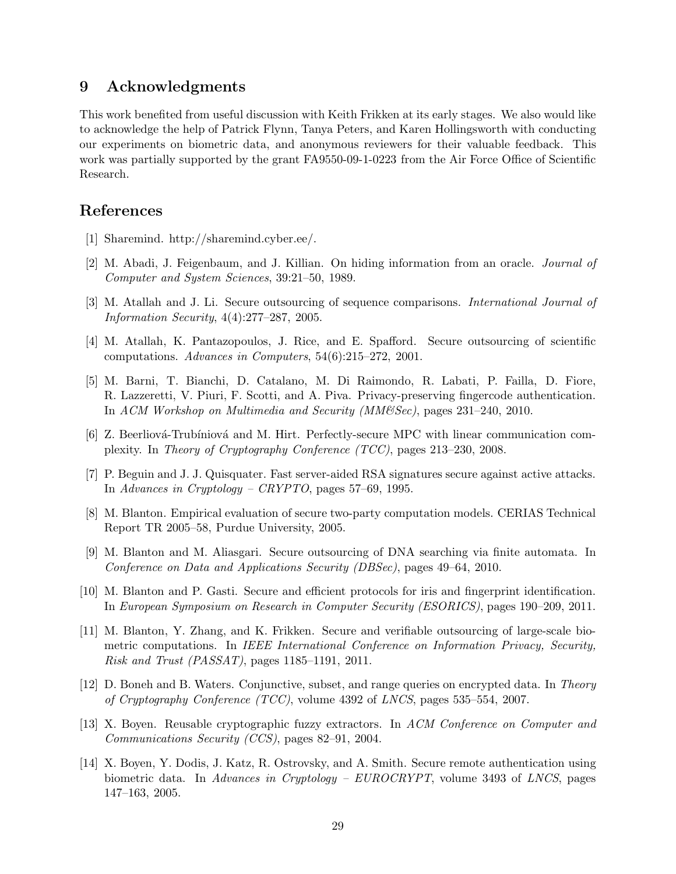# 9 Acknowledgments

This work benefited from useful discussion with Keith Frikken at its early stages. We also would like to acknowledge the help of Patrick Flynn, Tanya Peters, and Karen Hollingsworth with conducting our experiments on biometric data, and anonymous reviewers for their valuable feedback. This work was partially supported by the grant FA9550-09-1-0223 from the Air Force Office of Scientific Research.

# References

- [1] Sharemind. http://sharemind.cyber.ee/.
- [2] M. Abadi, J. Feigenbaum, and J. Killian. On hiding information from an oracle. *Journal of Computer and System Sciences*, 39:21–50, 1989.
- [3] M. Atallah and J. Li. Secure outsourcing of sequence comparisons. *International Journal of Information Security*, 4(4):277–287, 2005.
- [4] M. Atallah, K. Pantazopoulos, J. Rice, and E. Spafford. Secure outsourcing of scientific computations. *Advances in Computers*, 54(6):215–272, 2001.
- [5] M. Barni, T. Bianchi, D. Catalano, M. Di Raimondo, R. Labati, P. Failla, D. Fiore, R. Lazzeretti, V. Piuri, F. Scotti, and A. Piva. Privacy-preserving fingercode authentication. In *ACM Workshop on Multimedia and Security (MM&Sec)*, pages 231–240, 2010.
- [6] Z. Beerliová-Trubíniová and M. Hirt. Perfectly-secure MPC with linear communication complexity. In *Theory of Cryptography Conference (TCC)*, pages 213–230, 2008.
- [7] P. Beguin and J. J. Quisquater. Fast server-aided RSA signatures secure against active attacks. In *Advances in Cryptology – CRYPTO*, pages 57–69, 1995.
- [8] M. Blanton. Empirical evaluation of secure two-party computation models. CERIAS Technical Report TR 2005–58, Purdue University, 2005.
- [9] M. Blanton and M. Aliasgari. Secure outsourcing of DNA searching via finite automata. In *Conference on Data and Applications Security (DBSec)*, pages 49–64, 2010.
- [10] M. Blanton and P. Gasti. Secure and efficient protocols for iris and fingerprint identification. In *European Symposium on Research in Computer Security (ESORICS)*, pages 190–209, 2011.
- [11] M. Blanton, Y. Zhang, and K. Frikken. Secure and verifiable outsourcing of large-scale biometric computations. In *IEEE International Conference on Information Privacy, Security, Risk and Trust (PASSAT)*, pages 1185–1191, 2011.
- [12] D. Boneh and B. Waters. Conjunctive, subset, and range queries on encrypted data. In *Theory of Cryptography Conference (TCC)*, volume 4392 of *LNCS*, pages 535–554, 2007.
- [13] X. Boyen. Reusable cryptographic fuzzy extractors. In *ACM Conference on Computer and Communications Security (CCS)*, pages 82–91, 2004.
- [14] X. Boyen, Y. Dodis, J. Katz, R. Ostrovsky, and A. Smith. Secure remote authentication using biometric data. In *Advances in Cryptology – EUROCRYPT*, volume 3493 of *LNCS*, pages 147–163, 2005.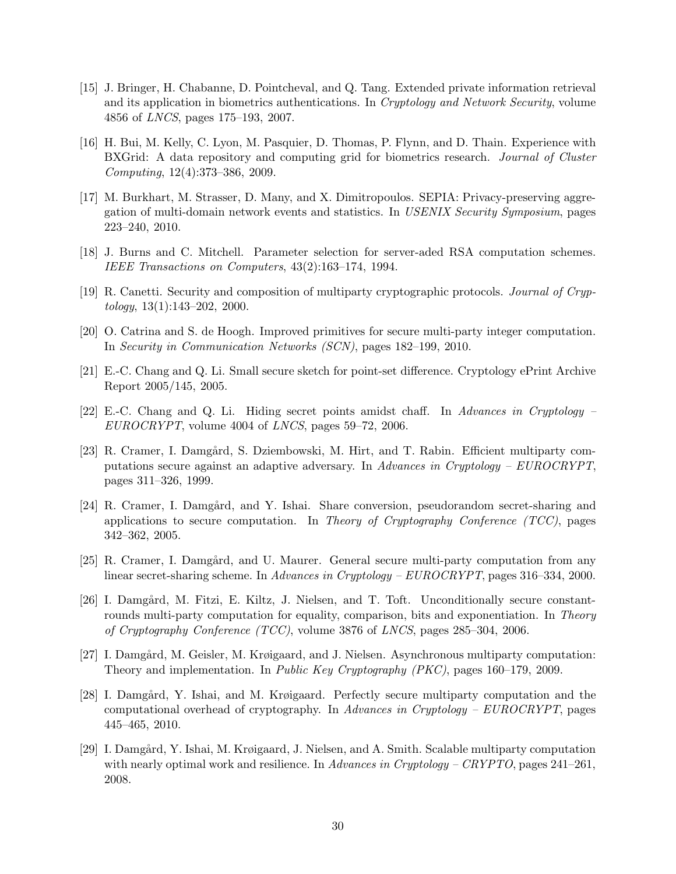- [15] J. Bringer, H. Chabanne, D. Pointcheval, and Q. Tang. Extended private information retrieval and its application in biometrics authentications. In *Cryptology and Network Security*, volume 4856 of *LNCS*, pages 175–193, 2007.
- [16] H. Bui, M. Kelly, C. Lyon, M. Pasquier, D. Thomas, P. Flynn, and D. Thain. Experience with BXGrid: A data repository and computing grid for biometrics research. *Journal of Cluster Computing*, 12(4):373–386, 2009.
- [17] M. Burkhart, M. Strasser, D. Many, and X. Dimitropoulos. SEPIA: Privacy-preserving aggregation of multi-domain network events and statistics. In *USENIX Security Symposium*, pages 223–240, 2010.
- [18] J. Burns and C. Mitchell. Parameter selection for server-aded RSA computation schemes. *IEEE Transactions on Computers*, 43(2):163–174, 1994.
- [19] R. Canetti. Security and composition of multiparty cryptographic protocols. *Journal of Cryptology*, 13(1):143–202, 2000.
- [20] O. Catrina and S. de Hoogh. Improved primitives for secure multi-party integer computation. In *Security in Communication Networks (SCN)*, pages 182–199, 2010.
- [21] E.-C. Chang and Q. Li. Small secure sketch for point-set difference. Cryptology ePrint Archive Report 2005/145, 2005.
- [22] E.-C. Chang and Q. Li. Hiding secret points amidst chaff. In *Advances in Cryptology – EUROCRYPT*, volume 4004 of *LNCS*, pages 59–72, 2006.
- [23] R. Cramer, I. Damgård, S. Dziembowski, M. Hirt, and T. Rabin. Efficient multiparty computations secure against an adaptive adversary. In *Advances in Cryptology – EUROCRYPT*, pages 311–326, 1999.
- [24] R. Cramer, I. Damgård, and Y. Ishai. Share conversion, pseudorandom secret-sharing and applications to secure computation. In *Theory of Cryptography Conference (TCC)*, pages 342–362, 2005.
- [25] R. Cramer, I. Damgård, and U. Maurer. General secure multi-party computation from any linear secret-sharing scheme. In *Advances in Cryptology – EUROCRYPT*, pages 316–334, 2000.
- [26] I. Damgård, M. Fitzi, E. Kiltz, J. Nielsen, and T. Toft. Unconditionally secure constantrounds multi-party computation for equality, comparison, bits and exponentiation. In *Theory of Cryptography Conference (TCC)*, volume 3876 of *LNCS*, pages 285–304, 2006.
- [27] I. Damgård, M. Geisler, M. Krøigaard, and J. Nielsen. Asynchronous multiparty computation: Theory and implementation. In *Public Key Cryptography (PKC)*, pages 160–179, 2009.
- [28] I. Damgård, Y. Ishai, and M. Krøigaard. Perfectly secure multiparty computation and the computational overhead of cryptography. In *Advances in Cryptology – EUROCRYPT*, pages 445–465, 2010.
- [29] I. Damgård, Y. Ishai, M. Krøigaard, J. Nielsen, and A. Smith. Scalable multiparty computation with nearly optimal work and resilience. In *Advances in Cryptology – CRYPTO*, pages 241–261, 2008.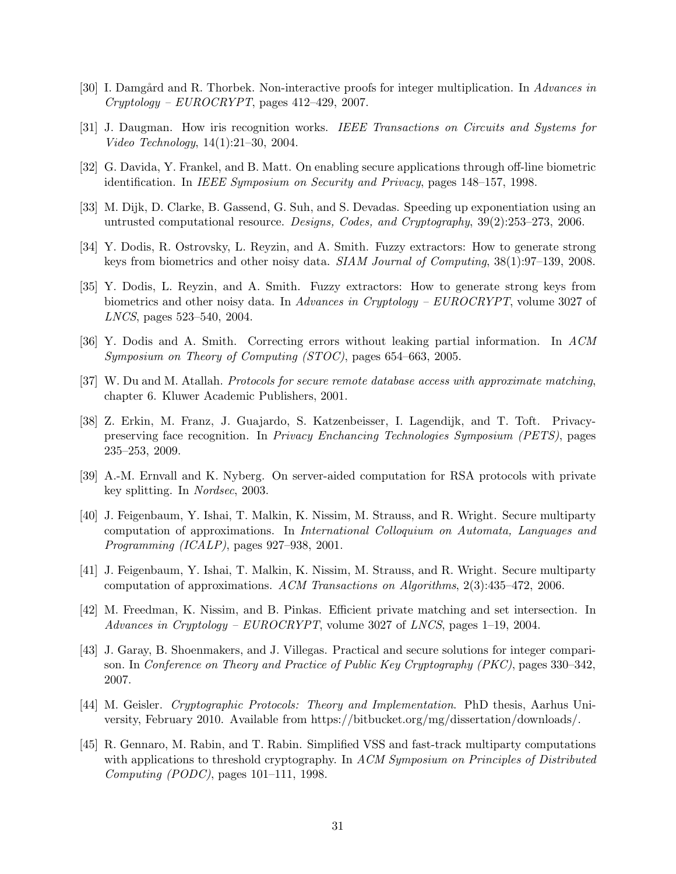- [30] I. Damgård and R. Thorbek. Non-interactive proofs for integer multiplication. In *Advances in Cryptology – EUROCRYPT*, pages 412–429, 2007.
- [31] J. Daugman. How iris recognition works. *IEEE Transactions on Circuits and Systems for Video Technology*, 14(1):21–30, 2004.
- [32] G. Davida, Y. Frankel, and B. Matt. On enabling secure applications through off-line biometric identification. In *IEEE Symposium on Security and Privacy*, pages 148–157, 1998.
- [33] M. Dijk, D. Clarke, B. Gassend, G. Suh, and S. Devadas. Speeding up exponentiation using an untrusted computational resource. *Designs, Codes, and Cryptography*, 39(2):253–273, 2006.
- [34] Y. Dodis, R. Ostrovsky, L. Reyzin, and A. Smith. Fuzzy extractors: How to generate strong keys from biometrics and other noisy data. *SIAM Journal of Computing*, 38(1):97–139, 2008.
- [35] Y. Dodis, L. Reyzin, and A. Smith. Fuzzy extractors: How to generate strong keys from biometrics and other noisy data. In *Advances in Cryptology – EUROCRYPT*, volume 3027 of *LNCS*, pages 523–540, 2004.
- [36] Y. Dodis and A. Smith. Correcting errors without leaking partial information. In *ACM Symposium on Theory of Computing (STOC)*, pages 654–663, 2005.
- [37] W. Du and M. Atallah. *Protocols for secure remote database access with approximate matching*, chapter 6. Kluwer Academic Publishers, 2001.
- [38] Z. Erkin, M. Franz, J. Guajardo, S. Katzenbeisser, I. Lagendijk, and T. Toft. Privacypreserving face recognition. In *Privacy Enchancing Technologies Symposium (PETS)*, pages 235–253, 2009.
- [39] A.-M. Ernvall and K. Nyberg. On server-aided computation for RSA protocols with private key splitting. In *Nordsec*, 2003.
- [40] J. Feigenbaum, Y. Ishai, T. Malkin, K. Nissim, M. Strauss, and R. Wright. Secure multiparty computation of approximations. In *International Colloquium on Automata, Languages and Programming (ICALP)*, pages 927–938, 2001.
- [41] J. Feigenbaum, Y. Ishai, T. Malkin, K. Nissim, M. Strauss, and R. Wright. Secure multiparty computation of approximations. *ACM Transactions on Algorithms*, 2(3):435–472, 2006.
- [42] M. Freedman, K. Nissim, and B. Pinkas. Efficient private matching and set intersection. In *Advances in Cryptology – EUROCRYPT*, volume 3027 of *LNCS*, pages 1–19, 2004.
- [43] J. Garay, B. Shoenmakers, and J. Villegas. Practical and secure solutions for integer comparison. In *Conference on Theory and Practice of Public Key Cryptography (PKC)*, pages 330–342, 2007.
- [44] M. Geisler. *Cryptographic Protocols: Theory and Implementation*. PhD thesis, Aarhus University, February 2010. Available from https://bitbucket.org/mg/dissertation/downloads/.
- [45] R. Gennaro, M. Rabin, and T. Rabin. Simplified VSS and fast-track multiparty computations with applications to threshold cryptography. In *ACM Symposium on Principles of Distributed Computing (PODC)*, pages 101–111, 1998.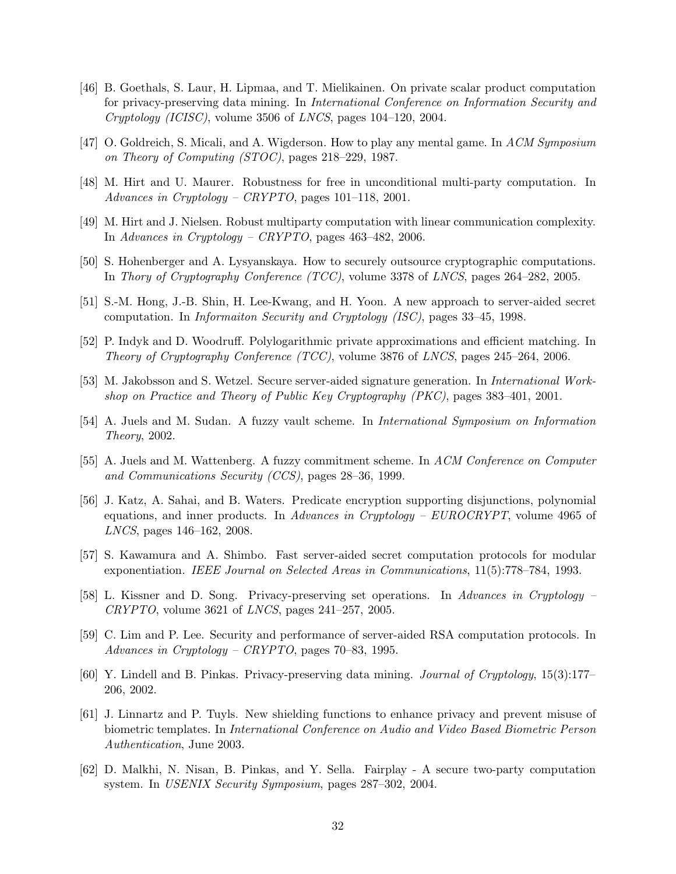- [46] B. Goethals, S. Laur, H. Lipmaa, and T. Mielikainen. On private scalar product computation for privacy-preserving data mining. In *International Conference on Information Security and Cryptology (ICISC)*, volume 3506 of *LNCS*, pages 104–120, 2004.
- [47] O. Goldreich, S. Micali, and A. Wigderson. How to play any mental game. In *ACM Symposium on Theory of Computing (STOC)*, pages 218–229, 1987.
- [48] M. Hirt and U. Maurer. Robustness for free in unconditional multi-party computation. In *Advances in Cryptology – CRYPTO*, pages 101–118, 2001.
- [49] M. Hirt and J. Nielsen. Robust multiparty computation with linear communication complexity. In *Advances in Cryptology – CRYPTO*, pages 463–482, 2006.
- [50] S. Hohenberger and A. Lysyanskaya. How to securely outsource cryptographic computations. In *Thory of Cryptography Conference (TCC)*, volume 3378 of *LNCS*, pages 264–282, 2005.
- [51] S.-M. Hong, J.-B. Shin, H. Lee-Kwang, and H. Yoon. A new approach to server-aided secret computation. In *Informaiton Security and Cryptology (ISC)*, pages 33–45, 1998.
- [52] P. Indyk and D. Woodruff. Polylogarithmic private approximations and efficient matching. In *Theory of Cryptography Conference (TCC)*, volume 3876 of *LNCS*, pages 245–264, 2006.
- [53] M. Jakobsson and S. Wetzel. Secure server-aided signature generation. In *International Workshop on Practice and Theory of Public Key Cryptography (PKC)*, pages 383–401, 2001.
- [54] A. Juels and M. Sudan. A fuzzy vault scheme. In *International Symposium on Information Theory*, 2002.
- [55] A. Juels and M. Wattenberg. A fuzzy commitment scheme. In *ACM Conference on Computer and Communications Security (CCS)*, pages 28–36, 1999.
- [56] J. Katz, A. Sahai, and B. Waters. Predicate encryption supporting disjunctions, polynomial equations, and inner products. In *Advances in Cryptology – EUROCRYPT*, volume 4965 of *LNCS*, pages 146–162, 2008.
- [57] S. Kawamura and A. Shimbo. Fast server-aided secret computation protocols for modular exponentiation. *IEEE Journal on Selected Areas in Communications*, 11(5):778–784, 1993.
- [58] L. Kissner and D. Song. Privacy-preserving set operations. In *Advances in Cryptology – CRYPTO*, volume 3621 of *LNCS*, pages 241–257, 2005.
- [59] C. Lim and P. Lee. Security and performance of server-aided RSA computation protocols. In *Advances in Cryptology – CRYPTO*, pages 70–83, 1995.
- [60] Y. Lindell and B. Pinkas. Privacy-preserving data mining. *Journal of Cryptology*, 15(3):177– 206, 2002.
- [61] J. Linnartz and P. Tuyls. New shielding functions to enhance privacy and prevent misuse of biometric templates. In *International Conference on Audio and Video Based Biometric Person Authentication*, June 2003.
- [62] D. Malkhi, N. Nisan, B. Pinkas, and Y. Sella. Fairplay A secure two-party computation system. In *USENIX Security Symposium*, pages 287–302, 2004.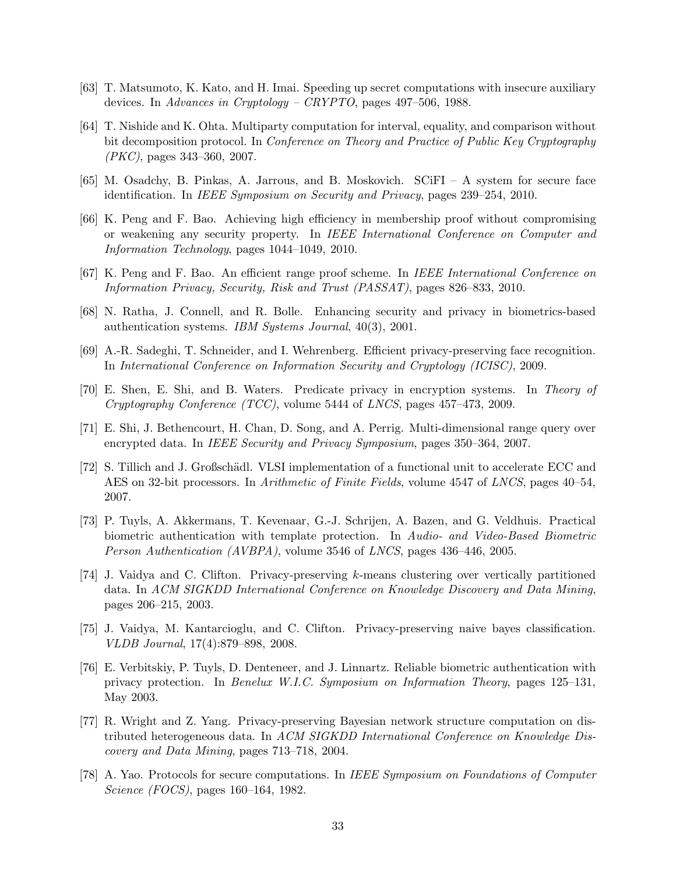- [63] T. Matsumoto, K. Kato, and H. Imai. Speeding up secret computations with insecure auxiliary devices. In *Advances in Cryptology – CRYPTO*, pages 497–506, 1988.
- [64] T. Nishide and K. Ohta. Multiparty computation for interval, equality, and comparison without bit decomposition protocol. In *Conference on Theory and Practice of Public Key Cryptography (PKC)*, pages 343–360, 2007.
- [65] M. Osadchy, B. Pinkas, A. Jarrous, and B. Moskovich. SCiFI A system for secure face identification. In *IEEE Symposium on Security and Privacy*, pages 239–254, 2010.
- [66] K. Peng and F. Bao. Achieving high efficiency in membership proof without compromising or weakening any security property. In *IEEE International Conference on Computer and Information Technology*, pages 1044–1049, 2010.
- [67] K. Peng and F. Bao. An efficient range proof scheme. In *IEEE International Conference on Information Privacy, Security, Risk and Trust (PASSAT)*, pages 826–833, 2010.
- [68] N. Ratha, J. Connell, and R. Bolle. Enhancing security and privacy in biometrics-based authentication systems. *IBM Systems Journal*, 40(3), 2001.
- [69] A.-R. Sadeghi, T. Schneider, and I. Wehrenberg. Efficient privacy-preserving face recognition. In *International Conference on Information Security and Cryptology (ICISC)*, 2009.
- [70] E. Shen, E. Shi, and B. Waters. Predicate privacy in encryption systems. In *Theory of Cryptography Conference (TCC)*, volume 5444 of *LNCS*, pages 457–473, 2009.
- [71] E. Shi, J. Bethencourt, H. Chan, D. Song, and A. Perrig. Multi-dimensional range query over encrypted data. In *IEEE Security and Privacy Symposium*, pages 350–364, 2007.
- [72] S. Tillich and J. Großschädl. VLSI implementation of a functional unit to accelerate ECC and AES on 32-bit processors. In *Arithmetic of Finite Fields*, volume 4547 of *LNCS*, pages 40–54, 2007.
- [73] P. Tuyls, A. Akkermans, T. Kevenaar, G.-J. Schrijen, A. Bazen, and G. Veldhuis. Practical biometric authentication with template protection. In *Audio- and Video-Based Biometric Person Authentication (AVBPA)*, volume 3546 of *LNCS*, pages 436–446, 2005.
- [74] J. Vaidya and C. Clifton. Privacy-preserving k-means clustering over vertically partitioned data. In *ACM SIGKDD International Conference on Knowledge Discovery and Data Mining*, pages 206–215, 2003.
- [75] J. Vaidya, M. Kantarcioglu, and C. Clifton. Privacy-preserving naive bayes classification. *VLDB Journal*, 17(4):879–898, 2008.
- [76] E. Verbitskiy, P. Tuyls, D. Denteneer, and J. Linnartz. Reliable biometric authentication with privacy protection. In *Benelux W.I.C. Symposium on Information Theory*, pages 125–131, May 2003.
- [77] R. Wright and Z. Yang. Privacy-preserving Bayesian network structure computation on distributed heterogeneous data. In *ACM SIGKDD International Conference on Knowledge Discovery and Data Mining*, pages 713–718, 2004.
- [78] A. Yao. Protocols for secure computations. In *IEEE Symposium on Foundations of Computer Science (FOCS)*, pages 160–164, 1982.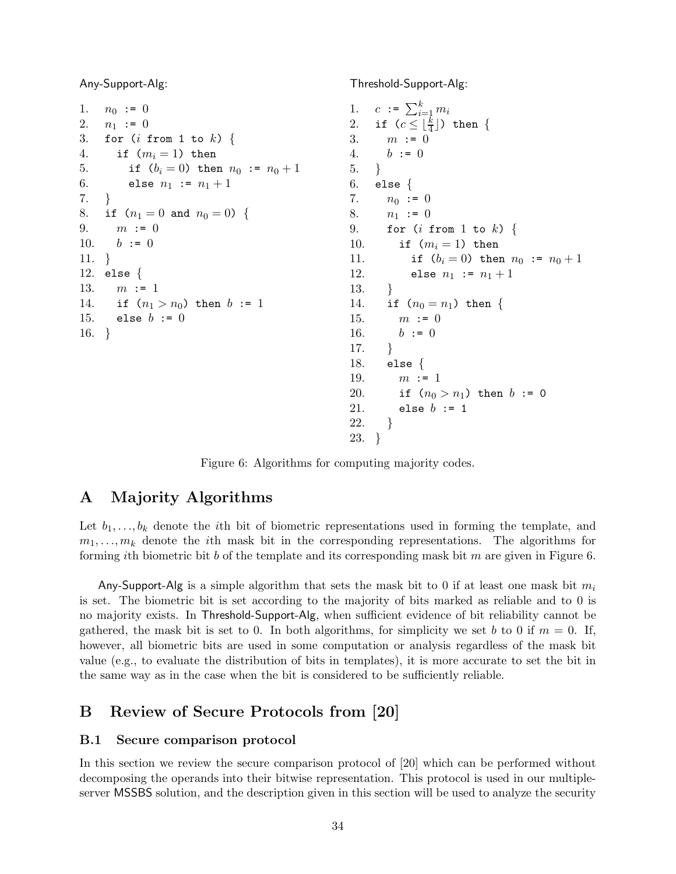Any-Support-Alg:

```
1. n_0 := 02. n_1 := 03. for (i \text{ from } 1 \text{ to } k) {
4. if (m_i = 1) then
5. if (b_i = 0) then n_0 := n_0 + 16. else n_1 := n_1 + 17. }
8. if (n_1 = 0 \text{ and } n_0 = 0) {
9. m := 010. b := 011. }
12. else {
13. m := 114. if (n_1 > n_0) then b := 115. else b := 016. }
```
Threshold-Support-Alg:

1.  $c := \sum_{i=1}^{k} m_i$ 2. if  $(c \leq \lfloor \frac{k}{4} \rfloor)$  then { 3.  $m := 0$ 4.  $b := 0$ 5. } 6. else  $\{$ 7.  $n_0 := 0$ 8.  $n_1 := 0$ 9. for  $(i \text{ from } 1 \text{ to } k)$  { 10. if  $(m_i = 1)$  then 11. if  $(b_i = 0)$  then  $n_0 := n_0 + 1$ 12. else  $n_1 := n_1 + 1$ 13. } 14. if  $(n_0 = n_1)$  then { 15.  $m := 0$ 16.  $b := 0$ 17. } 18. else { 19.  $m := 1$ 20. if  $(n_0 > n_1)$  then  $b := 0$ 21. else  $b := 1$ 22. } 23. }

Figure 6: Algorithms for computing majority codes.

# A Majority Algorithms

Let  $b_1, \ldots, b_k$  denote the *i*th bit of biometric representations used in forming the template, and  $m_1, \ldots, m_k$  denote the *i*th mask bit in the corresponding representations. The algorithms for forming ith biometric bit b of the template and its corresponding mask bit m are given in Figure 6.

Any-Support-Alg is a simple algorithm that sets the mask bit to 0 if at least one mask bit  $m_i$ is set. The biometric bit is set according to the majority of bits marked as reliable and to 0 is no majority exists. In Threshold-Support-Alg, when sufficient evidence of bit reliability cannot be gathered, the mask bit is set to 0. In both algorithms, for simplicity we set b to 0 if  $m = 0$ . If, however, all biometric bits are used in some computation or analysis regardless of the mask bit value (e.g., to evaluate the distribution of bits in templates), it is more accurate to set the bit in the same way as in the case when the bit is considered to be sufficiently reliable.

# B Review of Secure Protocols from [20]

### B.1 Secure comparison protocol

In this section we review the secure comparison protocol of [20] which can be performed without decomposing the operands into their bitwise representation. This protocol is used in our multipleserver MSSBS solution, and the description given in this section will be used to analyze the security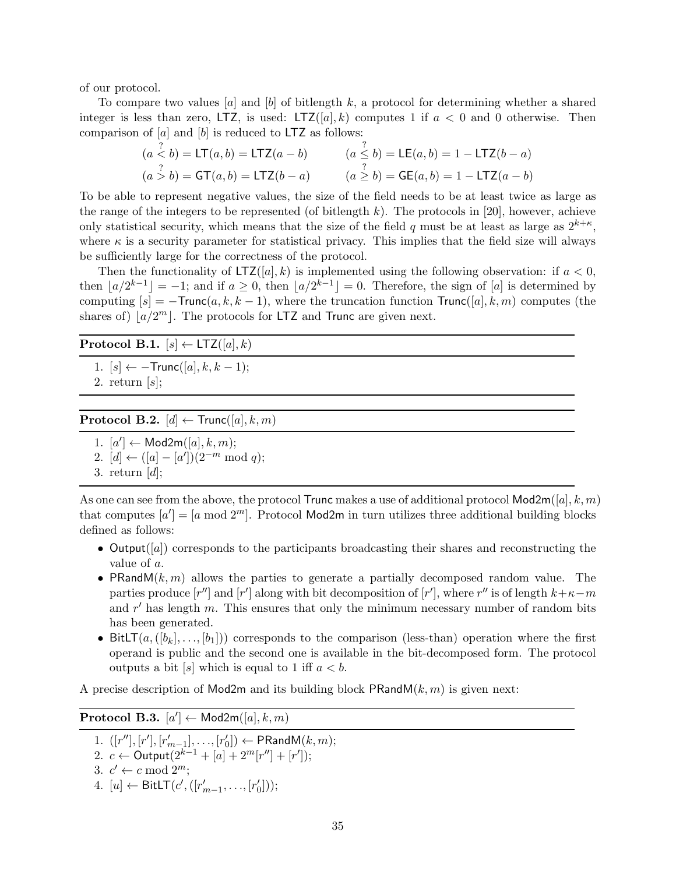of our protocol.

To compare two values  $[a]$  and  $[b]$  of bitlength k, a protocol for determining whether a shared integer is less than zero, LTZ, is used: LTZ $([a], k)$  computes 1 if  $a < 0$  and 0 otherwise. Then comparison of  $[a]$  and  $[b]$  is reduced to LTZ as follows:

$$
(a \stackrel{?}{<} b) = \text{LT}(a, b) = \text{LTZ}(a - b)
$$
\n
$$
(a \stackrel{?}{\leq} b) = \text{LE}(a, b) = 1 - \text{LTZ}(b - a)
$$
\n
$$
(a \stackrel{?}{>} b) = \text{GT}(a, b) = \text{LTZ}(b - a)
$$
\n
$$
(a \stackrel{?}{\geq} b) = \text{GE}(a, b) = 1 - \text{LTZ}(a - b)
$$

To be able to represent negative values, the size of the field needs to be at least twice as large as the range of the integers to be represented (of bitlength  $k$ ). The protocols in [20], however, achieve only statistical security, which means that the size of the field q must be at least as large as  $2^{k+\kappa}$ , where  $\kappa$  is a security parameter for statistical privacy. This implies that the field size will always be sufficiently large for the correctness of the protocol.

Then the functionality of  $LTZ([a], k)$  is implemented using the following observation: if  $a < 0$ , then  $\lfloor a/2^{k-1} \rfloor = -1$ ; and if  $a \ge 0$ , then  $\lfloor a/2^{k-1} \rfloor = 0$ . Therefore, the sign of [a] is determined by computing  $[s] = -\text{Trunc}(a, k, k - 1)$ , where the truncation function  $\text{Trunc}([a], k, m)$  computes (the shares of)  $\lfloor a/2^m \rfloor$ . The protocols for LTZ and Trunc are given next.

### **Protocol B.1.**  $[s] \leftarrow \text{LTZ}([a], k)$

1.  $[s] \leftarrow -\text{Trunc}([a], k, k-1);$ 

2. return  $[s]$ ;

**Protocol B.2.**  $[d] \leftarrow \text{Trunc}([a], k, m)$ 

- 1.  $[a'] \leftarrow \text{Mod2m}([a], k, m);$
- 2.  $[d] \leftarrow ([a] [a']) (2^{-m} \mod q);$
- 3. return  $[d]$ ;

As one can see from the above, the protocol Trunc makes a use of additional protocol  $\mathsf{Mod2m}([a], k, m)$ that computes  $[a'] = [a \mod 2^m]$ . Protocol Mod2m in turn utilizes three additional building blocks defined as follows:

- Output([a]) corresponds to the participants broadcasting their shares and reconstructing the value of a.
- PRandM $(k, m)$  allows the parties to generate a partially decomposed random value. The parties produce  $[r'']$  and  $[r']$  along with bit decomposition of  $[r']$ , where  $r''$  is of length  $k+\kappa-m$ and  $r'$  has length  $m$ . This ensures that only the minimum necessary number of random bits has been generated.
- BitLT $(a,([b_k], \ldots, [b_1]))$  corresponds to the comparison (less-than) operation where the first operand is public and the second one is available in the bit-decomposed form. The protocol outputs a bit  $[s]$  which is equal to 1 iff  $a < b$ .

A precise description of Mod2m and its building block PRandM $(k, m)$  is given next:

Protocol B.3.  $[a'] \leftarrow \mathsf{Mod2m}([a], k, m)$ 

1.  $([r''], [r'], [r'_{m-1}], \ldots, [r'_0])$  $\mathcal{C}_0]) \leftarrow \mathsf{PRandM}(k,m);$ 

- 2.  $c \leftarrow$  Output $(2^{k-1} + [a] + 2^m[r''] + [r'])$ ;
- 3.  $c' \leftarrow c \mod 2^m$ ;
- 4. [*u*] ← BitLT(*c'*, ([ $r'_{m-1}$ , ..., [ $r'_{0}$  $'_{0}$ ]));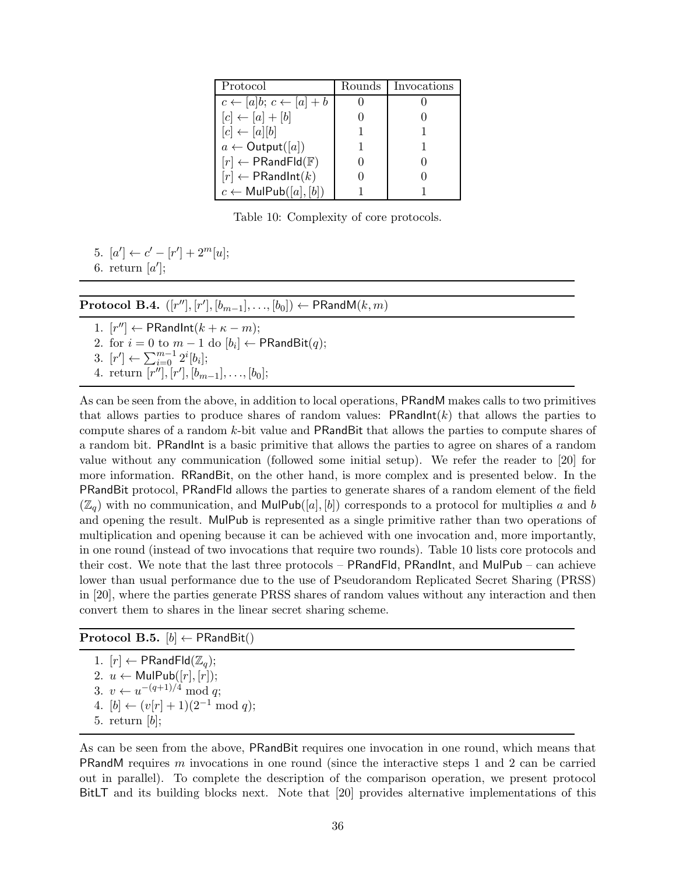| Protocol                                       | Rounds - | Invocations |
|------------------------------------------------|----------|-------------|
| $c \leftarrow [a]b; c \leftarrow [a] + b$      |          |             |
| $[c] \leftarrow [a] + [b]$                     |          |             |
| $[c] \leftarrow [a][b]$                        |          |             |
| $a \leftarrow$ Output([a])                     |          |             |
| $[r] \leftarrow \mathsf{PRandFld}(\mathbb{F})$ |          |             |
| $[r] \leftarrow \mathsf{PRandInt}(k)$          |          |             |
| $c \leftarrow \mathsf{MulPub}([a], [b])$       |          |             |

Table 10: Complexity of core protocols.

5.  $[a'] \leftarrow c' - [r'] + 2^m[u];$ 

6. return  $[a']$ ;

 $\textbf{Protocol B.4.} \ \ ([r''], [r'], [b_{m-1}], \ldots, [b_0]) \leftarrow \textsf{PRandM}(k, m)$ 

1.  $[r''] \leftarrow \textsf{PRandInt}(k + \kappa - m);$ 2. for  $i = 0$  to  $m - 1$  do  $[b_i] \leftarrow \mathsf{PRandBit}(q)$ ; 3.  $[r'] \leftarrow \sum_{i=0}^{m-1} 2^i[b_i];$ 4. return  $\overline{[r'']}, [r'], [b_{m-1}], \ldots, [b_0];$ 

As can be seen from the above, in addition to local operations, PRandM makes calls to two primitives that allows parties to produce shares of random values:  $PRandInt(k)$  that allows the parties to compute shares of a random k-bit value and PRandBit that allows the parties to compute shares of a random bit. PRandInt is a basic primitive that allows the parties to agree on shares of a random value without any communication (followed some initial setup). We refer the reader to [20] for more information. RRandBit, on the other hand, is more complex and is presented below. In the PRandBit protocol, PRandFld allows the parties to generate shares of a random element of the field  $(\mathbb{Z}_q)$  with no communication, and MulPub([a], [b]) corresponds to a protocol for multiplies a and b and opening the result. MulPub is represented as a single primitive rather than two operations of multiplication and opening because it can be achieved with one invocation and, more importantly, in one round (instead of two invocations that require two rounds). Table 10 lists core protocols and their cost. We note that the last three protocols – PRandFld, PRandInt, and MulPub – can achieve lower than usual performance due to the use of Pseudorandom Replicated Secret Sharing (PRSS) in [20], where the parties generate PRSS shares of random values without any interaction and then convert them to shares in the linear secret sharing scheme.

### Protocol B.5.  $[b] \leftarrow \mathsf{PRandBit}()$

1.  $[r] \leftarrow \mathsf{PRandFld}(\mathbb{Z}_q);$ 2.  $u \leftarrow \text{MulPub}([r], [r]);$ 3.  $v \leftarrow u^{-(q+1)/4} \mod q;$ 4.  $[b] \leftarrow (v[r] + 1)(2^{-1} \mod q);$ 5. return  $[b]$ ;

As can be seen from the above, PRandBit requires one invocation in one round, which means that PRandM requires m invocations in one round (since the interactive steps 1 and 2 can be carried out in parallel). To complete the description of the comparison operation, we present protocol BitLT and its building blocks next. Note that [20] provides alternative implementations of this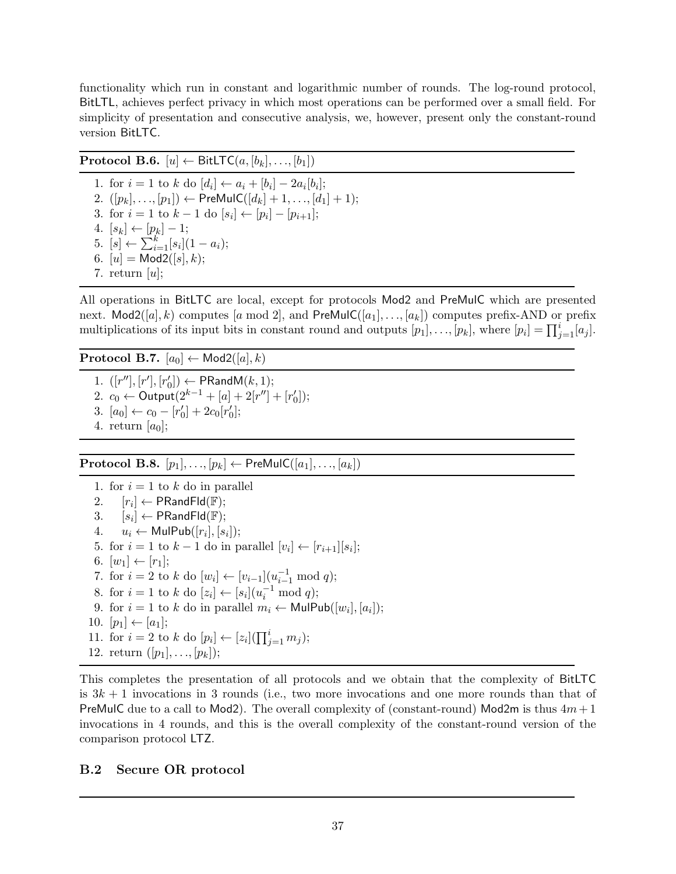functionality which run in constant and logarithmic number of rounds. The log-round protocol, BitLTL, achieves perfect privacy in which most operations can be performed over a small field. For simplicity of presentation and consecutive analysis, we, however, present only the constant-round version BitLTC.

**Protocol B.6.**  $[u] \leftarrow \text{BitLTC}(a, [b_k], \ldots, [b_1])$ 1. for  $i = 1$  to  $k$  do  $[d_i] \leftarrow a_i + [b_i] - 2a_i[b_i]$ ; 2.  $([p_k], \ldots, [p_1]) \leftarrow \text{PreMulC}([d_k] + 1, \ldots, [d_1] + 1);$ 3. for  $i = 1$  to  $k - 1$  do  $[s_i] \leftarrow [p_i] - [p_{i+1}]$ ;  $4. [s_k] \leftarrow [p_k] - 1;$ 5.  $[s] \leftarrow \sum_{i=1}^{k} [s_i](1 - a_i);$ 6.  $[u] = Mod2([s], k);$ 7. return  $[u]$ ;

All operations in BitLTC are local, except for protocols Mod2 and PreMulC which are presented next. Mod2([a], k) computes [a mod 2], and PreMulC([a<sub>1</sub>], ..., [a<sub>k</sub>]) computes prefix-AND or prefix multiplications of its input bits in constant round and outputs  $[p_1], \ldots, [p_k]$ , where  $[p_i] = \prod_{j=1}^i [a_j]$ .

**Protocol B.7.**  $[a_0] \leftarrow \text{Mod2}([a], k)$ 

1.  $([r''], [r'], [r']$  $\mathcal{C}_0]) \leftarrow \mathsf{PRandM}(k,1);$ 2.  $c_0$  ← Output $(2^{k-1} + [a] + 2[r''] + [r_0']$  $'_{0}$ ); 3.  $[a_0] \leftarrow c_0 - [r'_0]$  $S_0] + 2c_0[r'_0]$  $'_{0}$ ]; 4. return  $[a_0]$ ;

**Protocol B.8.**  $[p_1], \ldots, [p_k] \leftarrow$  PreMulC $([a_1], \ldots, [a_k])$ 

1. for  $i = 1$  to k do in parallel 2.  $[r_i] \leftarrow \mathsf{PR}$ and $\mathsf{Fld}(\mathbb{F});$  $3. \quad [s_i] \leftarrow \mathsf{PR}$ and $\mathsf{Fld}(\mathbb{F});$ 4.  $u_i \leftarrow \textsf{MulPub}([r_i], [s_i]);$ 5. for  $i = 1$  to  $k - 1$  do in parallel  $[v_i] \leftarrow [r_{i+1}][s_i]$ ; 6.  $[w_1] \leftarrow [r_1]$ ; 7. for  $i = 2$  to  $k$  do  $[w_i] \leftarrow [v_{i-1}](u_{i-1}^{-1} \mod q);$ 8. for  $i = 1$  to  $k$  do  $[z_i] \leftarrow [s_i](u_i^{-1} \mod q);$ 9. for  $i = 1$  to k do in parallel  $m_i \leftarrow \textsf{MulPub}([w_i], [a_i])$ ; 10.  $[p_1] \leftarrow [a_1]$ ; 11. for  $i = 2$  to  $k$  do  $[p_i] \leftarrow [z_i](\prod_{j=1}^i m_j);$ 12. return  $([p_1], \ldots, [p_k])$ ;

This completes the presentation of all protocols and we obtain that the complexity of BitLTC is  $3k + 1$  invocations in 3 rounds (i.e., two more invocations and one more rounds than that of PreMulC due to a call to Mod2). The overall complexity of (constant-round) Mod2m is thus  $4m+1$ invocations in 4 rounds, and this is the overall complexity of the constant-round version of the comparison protocol LTZ.

# B.2 Secure OR protocol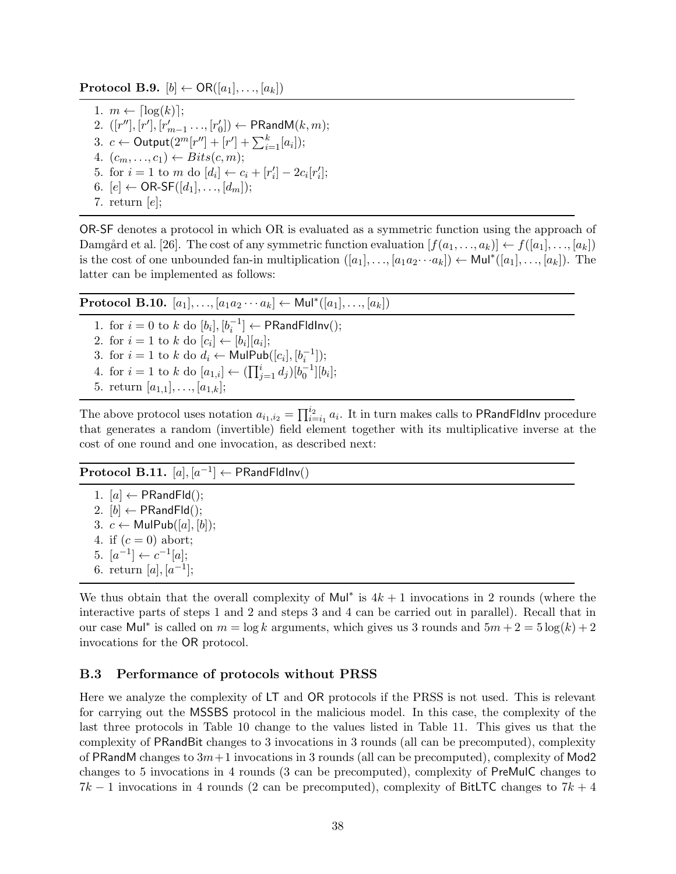**Protocol B.9.**  $[b] \leftarrow \text{OR}([a_1], \ldots, [a_k])$ 

1.  $m \leftarrow \lceil \log(k) \rceil$ ; 2.  $([r''], [r'], [r'_{m-1} \ldots, [r_0$  $\mathcal{C}_0]) \leftarrow \mathsf{PRandM}(k,m);$ 3. *c* ← Output $(2^{m}[r''] + [r'] + \sum_{i=1}^{k} [a_i])$ ; 4.  $(c_m, \ldots, c_1) \leftarrow \text{Bits}(c, m);$ 5. for  $i = 1$  to m do  $[d_i] \leftarrow c_i + [r'_i]$  $x'_{i}$ ] – 2 $c_{i}[r'_{i}]$  $'_{i}$ : 6.  $[e] \leftarrow \text{OR-SF}([d_1], \dots, [d_m])$ ; 7. return  $[e]$ ;

OR-SF denotes a protocol in which OR is evaluated as a symmetric function using the approach of Damgård et al. [26]. The cost of any symmetric function evaluation  $[f(a_1, ..., a_k)] \leftarrow f([a_1], ..., [a_k])$ is the cost of one unbounded fan-in multiplication  $([a_1], \ldots, [a_1 a_2 \cdots a_k]) \leftarrow \text{Mul}^*([a_1], \ldots, [a_k])$ . The latter can be implemented as follows:

| <b>Protocol B.10.</b> $[a_1], , [a_1 a_2 \cdots a_k] \leftarrow \text{Mul}^*([a_1], , [a_k])$                                            |  |
|------------------------------------------------------------------------------------------------------------------------------------------|--|
| 1. for $i = 0$ to k do $[b_i], [b_i^{-1}] \leftarrow \textsf{PRandFldInv}()$ ;<br>2. for $i = 1$ to k do $[c_i] \leftarrow [b_i][a_i]$ ; |  |
| 3. for $i = 1$ to k do $d_i \leftarrow \text{MulPub}([c_i], [b_i^{-1}])$ ;                                                               |  |
| 4. for $i = 1$ to k do $[a_{1,i}] \leftarrow (\prod_{i=1}^{i} d_i)[b_0^{-1}][b_i];$<br>5. return $[a_{1,1}], \ldots, [a_{1,k}]$ ;        |  |

The above protocol uses notation  $a_{i_1,i_2} = \prod_{i=i_1}^{i_2} a_i$ . It in turn makes calls to PRandFldInv procedure that generates a random (invertible) field element together with its multiplicative inverse at the cost of one round and one invocation, as described next:

# $\textbf{Protocol B.11.} \,\, [a], [a^{-1}] \leftarrow \textsf{PRandFldInv}()$

1.  $[a] \leftarrow PRandFld()$ ; 2.  $[b] \leftarrow \mathsf{PRandFld}();$ 3.  $c$  ← MulPub([a], [b]); 4. if  $(c = 0)$  abort; 5.  $[a^{-1}] \leftarrow c^{-1}[a];$ 6. return [a],  $[a^{-1}]$ ;

We thus obtain that the overall complexity of Mul<sup>\*</sup> is  $4k + 1$  invocations in 2 rounds (where the interactive parts of steps 1 and 2 and steps 3 and 4 can be carried out in parallel). Recall that in our case Mul<sup>\*</sup> is called on  $m = \log k$  arguments, which gives us 3 rounds and  $5m + 2 = 5\log(k) + 2$ invocations for the OR protocol.

### B.3 Performance of protocols without PRSS

Here we analyze the complexity of LT and OR protocols if the PRSS is not used. This is relevant for carrying out the MSSBS protocol in the malicious model. In this case, the complexity of the last three protocols in Table 10 change to the values listed in Table 11. This gives us that the complexity of PRandBit changes to 3 invocations in 3 rounds (all can be precomputed), complexity of PRandM changes to  $3m+1$  invocations in 3 rounds (all can be precomputed), complexity of Mod2 changes to 5 invocations in 4 rounds (3 can be precomputed), complexity of PreMulC changes to  $7k-1$  invocations in 4 rounds (2 can be precomputed), complexity of BitLTC changes to  $7k+4$